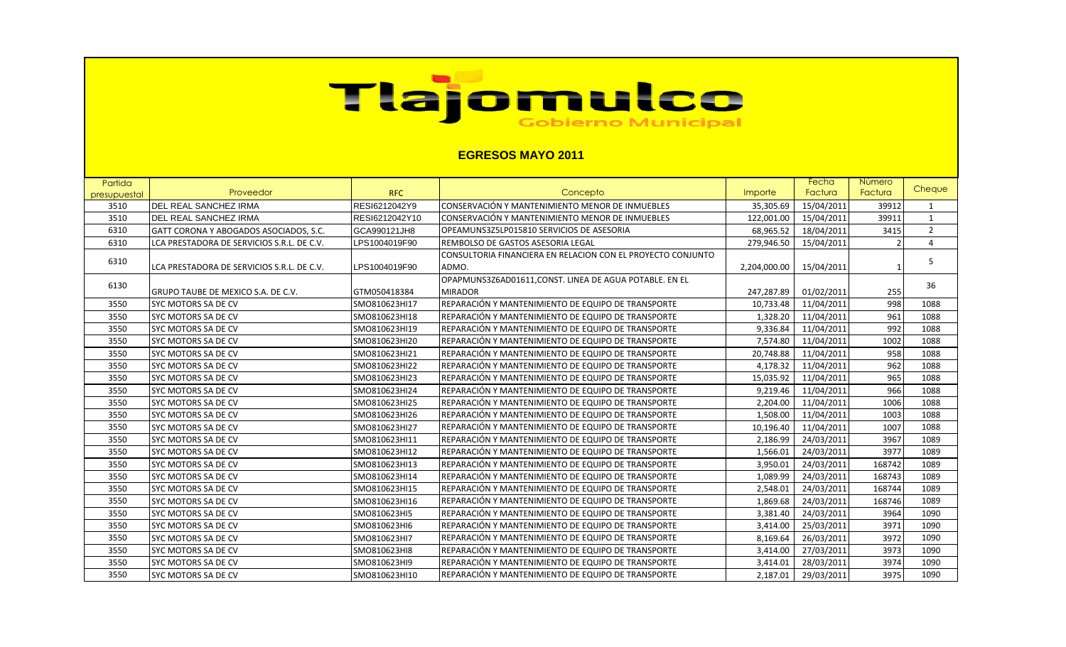## Tiajomulco

## **EGRESOS MAYO 2011**

| Partida      |                                            |                |                                                             |              | Fecha      | Número        |                |
|--------------|--------------------------------------------|----------------|-------------------------------------------------------------|--------------|------------|---------------|----------------|
| presupuestal | Proveedor                                  | <b>RFC</b>     | Concepto                                                    | Importe      | Factura    | Factura       | Cheque         |
| 3510         | <b>DEL REAL SANCHEZ IRMA</b>               | RESI6212042Y9  | CONSERVACIÓN Y MANTENIMIENTO MENOR DE INMUEBLES             | 35,305.69    | 15/04/2011 | 39912         | 1              |
| 3510         | <b>DEL REAL SANCHEZ IRMA</b>               | RESI6212042Y10 | CONSERVACIÓN Y MANTENIMIENTO MENOR DE INMUEBLES             | 122,001.00   | 15/04/2011 | 39911         | $\mathbf{1}$   |
| 6310         | GATT CORONA Y ABOGADOS ASOCIADOS, S.C.     | GCA990121JH8   | OPEAMUNS3Z5LP015810 SERVICIOS DE ASESORIA                   | 68,965.52    | 18/04/2011 | 3415          | $\overline{2}$ |
| 6310         | LCA PRESTADORA DE SERVICIOS S.R.L. DE C.V. | LPS1004019F90  | REMBOLSO DE GASTOS ASESORIA LEGAL                           | 279,946.50   | 15/04/2011 | $\mathcal{P}$ | $\overline{4}$ |
| 6310         |                                            |                | CONSULTORIA FINANCIERA EN RELACION CON EL PROYECTO CONJUNTO |              |            |               | 5              |
|              | LCA PRESTADORA DE SERVICIOS S.R.L. DE C.V. | LPS1004019F90  | ADMO.                                                       | 2,204,000.00 | 15/04/2011 |               |                |
| 6130         |                                            |                | OPAPMUNS3Z6AD01611, CONST. LINEA DE AGUA POTABLE. EN EL     |              |            |               | 36             |
|              | GRUPO TAUBE DE MEXICO S.A. DE C.V.         | GTM050418384   | <b>MIRADOR</b>                                              | 247,287.89   | 01/02/2011 | 255           |                |
| 3550         | SYC MOTORS SA DE CV                        | SMO810623HI17  | REPARACIÓN Y MANTENIMIENTO DE EQUIPO DE TRANSPORTE          | 10,733.48    | 11/04/2011 | 998           | 1088           |
| 3550         | SYC MOTORS SA DE CV                        | SMO810623HI18  | REPARACIÓN Y MANTENIMIENTO DE EQUIPO DE TRANSPORTE          | 1,328.20     | 11/04/2011 | 961           | 1088           |
| 3550         | SYC MOTORS SA DE CV                        | SMO810623HI19  | REPARACIÓN Y MANTENIMIENTO DE EQUIPO DE TRANSPORTE          | 9,336.84     | 11/04/2011 | 992           | 1088           |
| 3550         | SYC MOTORS SA DE CV                        | SMO810623HI20  | REPARACIÓN Y MANTENIMIENTO DE EQUIPO DE TRANSPORTE          | 7,574.80     | 11/04/2011 | 1002          | 1088           |
| 3550         | SYC MOTORS SA DE CV                        | SMO810623HI21  | REPARACIÓN Y MANTENIMIENTO DE EQUIPO DE TRANSPORTE          | 20,748.88    | 11/04/2011 | 958           | 1088           |
| 3550         | SYC MOTORS SA DE CV                        | SMO810623HI22  | REPARACIÓN Y MANTENIMIENTO DE EQUIPO DE TRANSPORTE          | 4,178.32     | 11/04/2011 | 962           | 1088           |
| 3550         | SYC MOTORS SA DE CV                        | SMO810623HI23  | REPARACIÓN Y MANTENIMIENTO DE EQUIPO DE TRANSPORTE          | 15,035.92    | 11/04/2011 | 965           | 1088           |
| 3550         | SYC MOTORS SA DE CV                        | SMO810623HI24  | REPARACIÓN Y MANTENIMIENTO DE EQUIPO DE TRANSPORTE          | 9,219.46     | 11/04/2011 | 966           | 1088           |
| 3550         | SYC MOTORS SA DE CV                        | SMO810623HI25  | REPARACIÓN Y MANTENIMIENTO DE EQUIPO DE TRANSPORTE          | 2,204.00     | 11/04/2011 | 1006          | 1088           |
| 3550         | SYC MOTORS SA DE CV                        | SMO810623HI26  | REPARACIÓN Y MANTENIMIENTO DE EQUIPO DE TRANSPORTE          | 1,508.00     | 11/04/2011 | 1003          | 1088           |
| 3550         | SYC MOTORS SA DE CV                        | SMO810623HI27  | REPARACIÓN Y MANTENIMIENTO DE EQUIPO DE TRANSPORTE          | 10,196.40    | 11/04/2011 | 1007          | 1088           |
| 3550         | SYC MOTORS SA DE CV                        | SMO810623HI11  | REPARACIÓN Y MANTENIMIENTO DE EQUIPO DE TRANSPORTE          | 2,186.99     | 24/03/2011 | 3967          | 1089           |
| 3550         | SYC MOTORS SA DE CV                        | SMO810623HI12  | REPARACIÓN Y MANTENIMIENTO DE EQUIPO DE TRANSPORTE          | 1,566.01     | 24/03/2011 | 3977          | 1089           |
| 3550         | SYC MOTORS SA DE CV                        | SMO810623HI13  | REPARACIÓN Y MANTENIMIENTO DE EQUIPO DE TRANSPORTE          | 3,950.01     | 24/03/2011 | 168742        | 1089           |
| 3550         | SYC MOTORS SA DE CV                        | SMO810623HI14  | REPARACIÓN Y MANTENIMIENTO DE EQUIPO DE TRANSPORTE          | 1,089.99     | 24/03/2011 | 168743        | 1089           |
| 3550         | SYC MOTORS SA DE CV                        | SMO810623HI15  | REPARACIÓN Y MANTENIMIENTO DE EQUIPO DE TRANSPORTE          | 2,548.01     | 24/03/2011 | 168744        | 1089           |
| 3550         | SYC MOTORS SA DE CV                        | SMO810623HI16  | REPARACIÓN Y MANTENIMIENTO DE EQUIPO DE TRANSPORTE          | 1,869.68     | 24/03/2011 | 168746        | 1089           |
| 3550         | SYC MOTORS SA DE CV                        | SMO810623HI5   | REPARACIÓN Y MANTENIMIENTO DE EQUIPO DE TRANSPORTE          | 3,381.40     | 24/03/2011 | 3964          | 1090           |
| 3550         | SYC MOTORS SA DE CV                        | SMO810623HI6   | REPARACIÓN Y MANTENIMIENTO DE EQUIPO DE TRANSPORTE          | 3,414.00     | 25/03/2011 | 3971          | 1090           |
| 3550         | SYC MOTORS SA DE CV                        | SMO810623HI7   | REPARACIÓN Y MANTENIMIENTO DE EQUIPO DE TRANSPORTE          | 8,169.64     | 26/03/2011 | 3972          | 1090           |
| 3550         | SYC MOTORS SA DE CV                        | SMO810623HI8   | REPARACIÓN Y MANTENIMIENTO DE EQUIPO DE TRANSPORTE          | 3,414.00     | 27/03/2011 | 3973          | 1090           |
| 3550         | SYC MOTORS SA DE CV                        | SMO810623HI9   | REPARACIÓN Y MANTENIMIENTO DE EQUIPO DE TRANSPORTE          | 3,414.01     | 28/03/2011 | 3974          | 1090           |
| 3550         | <b>SYC MOTORS SA DE CV</b>                 | SMO810623HI10  | REPARACIÓN Y MANTENIMIENTO DE EQUIPO DE TRANSPORTE          | 2.187.01     | 29/03/2011 | 3975          | 1090           |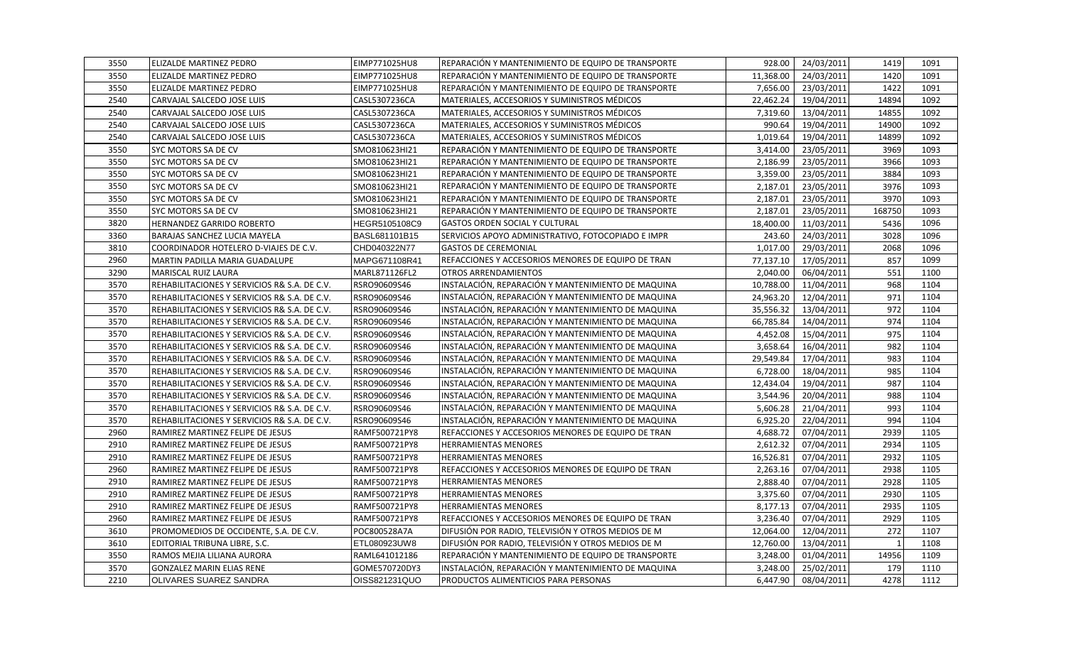| 3550 | ELIZALDE MARTINEZ PEDRO                      | EIMP771025HU8 | REPARACIÓN Y MANTENIMIENTO DE EQUIPO DE TRANSPORTE  | 928.00    | 24/03/2011 | 1419           | 1091 |
|------|----------------------------------------------|---------------|-----------------------------------------------------|-----------|------------|----------------|------|
| 3550 | ELIZALDE MARTINEZ PEDRO                      | EIMP771025HU8 | IREPARACIÓN Y MANTENIMIENTO DE EQUIPO DE TRANSPORTE | 11,368.00 | 24/03/2011 | 1420           | 1091 |
| 3550 | ELIZALDE MARTINEZ PEDRO                      | EIMP771025HU8 | REPARACIÓN Y MANTENIMIENTO DE EQUIPO DE TRANSPORTE  | 7,656.00  | 23/03/2011 | 1422           | 1091 |
| 2540 | CARVAJAL SALCEDO JOSE LUIS                   | CASL5307236CA | MATERIALES, ACCESORIOS Y SUMINISTROS MÉDICOS        | 22,462.24 | 19/04/2011 | 14894          | 1092 |
| 2540 | CARVAJAL SALCEDO JOSE LUIS                   | CASL5307236CA | MATERIALES, ACCESORIOS Y SUMINISTROS MÉDICOS        | 7,319.60  | 13/04/2011 | 14855          | 1092 |
| 2540 | CARVAJAL SALCEDO JOSE LUIS                   | CASL5307236CA | MATERIALES, ACCESORIOS Y SUMINISTROS MÉDICOS        | 990.64    | 19/04/2011 | 14900          | 1092 |
| 2540 | CARVAJAL SALCEDO JOSE LUIS                   | CASL5307236CA | MATERIALES, ACCESORIOS Y SUMINISTROS MÉDICOS        | 1,019.64  | 19/04/2011 | 14899          | 1092 |
| 3550 | SYC MOTORS SA DE CV                          | SMO810623HI21 | REPARACIÓN Y MANTENIMIENTO DE EQUIPO DE TRANSPORTE  | 3,414.00  | 23/05/2011 | 3969           | 1093 |
| 3550 | SYC MOTORS SA DE CV                          | SMO810623HI21 | REPARACIÓN Y MANTENIMIENTO DE EQUIPO DE TRANSPORTE  | 2,186.99  | 23/05/2011 | 3966           | 1093 |
| 3550 | SYC MOTORS SA DE CV                          | SMO810623HI21 | REPARACIÓN Y MANTENIMIENTO DE EQUIPO DE TRANSPORTE  | 3,359.00  | 23/05/2011 | 3884           | 1093 |
| 3550 | SYC MOTORS SA DE CV                          | SMO810623HI21 | REPARACIÓN Y MANTENIMIENTO DE EQUIPO DE TRANSPORTE  | 2,187.01  | 23/05/2011 | 3976           | 1093 |
| 3550 | SYC MOTORS SA DE CV                          | SMO810623HI21 | REPARACIÓN Y MANTENIMIENTO DE EQUIPO DE TRANSPORTE  | 2,187.01  | 23/05/2011 | 3970           | 1093 |
| 3550 | SYC MOTORS SA DE CV                          | SMO810623HI21 | REPARACIÓN Y MANTENIMIENTO DE EQUIPO DE TRANSPORTE  | 2,187.01  | 23/05/2011 | 168750         | 1093 |
| 3820 | <b>HERNANDEZ GARRIDO ROBERTO</b>             | HEGR5105108C9 | <b>GASTOS ORDEN SOCIAL Y CULTURAL</b>               | 18,400.00 | 11/03/2011 | 5436           | 1096 |
| 3360 | <b>BARAJAS SANCHEZ LUCIA MAYELA</b>          | BASL681101B15 | SERVICIOS APOYO ADMINISTRATIVO, FOTOCOPIADO E IMPR  | 243.60    | 24/03/2011 | 3028           | 1096 |
| 3810 | COORDINADOR HOTELERO D-VIAJES DE C.V.        | CHD040322N77  | <b>GASTOS DE CEREMONIAL</b>                         | 1,017.00  | 29/03/2011 | 2068           | 1096 |
| 2960 | MARTIN PADILLA MARIA GUADALUPE               | MAPG671108R41 | REFACCIONES Y ACCESORIOS MENORES DE EQUIPO DE TRAN  | 77,137.10 | 17/05/2011 | 857            | 1099 |
| 3290 | <b>MARISCAL RUIZ LAURA</b>                   | MARL871126FL2 | <b>OTROS ARRENDAMIENTOS</b>                         | 2,040.00  | 06/04/2011 | 551            | 1100 |
| 3570 | REHABILITACIONES Y SERVICIOS R& S.A. DE C.V. | RSRO90609S46  | INSTALACIÓN, REPARACIÓN Y MANTENIMIENTO DE MAQUINA  | 10,788.00 | 11/04/2011 | 968            | 1104 |
| 3570 | REHABILITACIONES Y SERVICIOS R& S.A. DE C.V. | RSRO90609S46  | INSTALACIÓN, REPARACIÓN Y MANTENIMIENTO DE MAQUINA  | 24,963.20 | 12/04/2011 | 971            | 1104 |
| 3570 | REHABILITACIONES Y SERVICIOS R& S.A. DE C.V. | RSRO90609S46  | INSTALACIÓN, REPARACIÓN Y MANTENIMIENTO DE MAQUINA  | 35,556.32 | 13/04/2011 | 972            | 1104 |
| 3570 | REHABILITACIONES Y SERVICIOS R& S.A. DE C.V. | RSRO90609S46  | INSTALACIÓN, REPARACIÓN Y MANTENIMIENTO DE MAQUINA  | 66,785.84 | 14/04/2011 | 974            | 1104 |
| 3570 | REHABILITACIONES Y SERVICIOS R& S.A. DE C.V. | RSRO90609S46  | INSTALACIÓN, REPARACIÓN Y MANTENIMIENTO DE MAQUINA  | 4,452.08  | 15/04/2011 | 975            | 1104 |
| 3570 | REHABILITACIONES Y SERVICIOS R& S.A. DE C.V. | RSRO90609S46  | INSTALACIÓN, REPARACIÓN Y MANTENIMIENTO DE MAQUINA  | 3,658.64  | 16/04/2011 | 982            | 1104 |
| 3570 | REHABILITACIONES Y SERVICIOS R& S.A. DE C.V. | RSRO90609S46  | INSTALACIÓN, REPARACIÓN Y MANTENIMIENTO DE MAQUINA  | 29,549.84 | 17/04/2011 | 983            | 1104 |
| 3570 | REHABILITACIONES Y SERVICIOS R& S.A. DE C.V. | RSRO90609S46  | INSTALACIÓN, REPARACIÓN Y MANTENIMIENTO DE MAQUINA  | 6,728.00  | 18/04/2011 | 985            | 1104 |
| 3570 | REHABILITACIONES Y SERVICIOS R& S.A. DE C.V. | RSRO90609S46  | INSTALACIÓN, REPARACIÓN Y MANTENIMIENTO DE MAQUINA  | 12,434.04 | 19/04/2011 | 987            | 1104 |
| 3570 | REHABILITACIONES Y SERVICIOS R& S.A. DE C.V. | RSRO90609S46  | INSTALACIÓN, REPARACIÓN Y MANTENIMIENTO DE MAQUINA  | 3,544.96  | 20/04/2011 | 988            | 1104 |
| 3570 | REHABILITACIONES Y SERVICIOS R& S.A. DE C.V. | RSRO90609S46  | INSTALACIÓN, REPARACIÓN Y MANTENIMIENTO DE MAQUINA  | 5,606.28  | 21/04/2011 | 993            | 1104 |
| 3570 | REHABILITACIONES Y SERVICIOS R& S.A. DE C.V. | RSRO90609S46  | INSTALACIÓN, REPARACIÓN Y MANTENIMIENTO DE MAQUINA  | 6,925.20  | 22/04/2011 | 994            | 1104 |
| 2960 | RAMIREZ MARTINEZ FELIPE DE JESUS             | RAMF500721PY8 | REFACCIONES Y ACCESORIOS MENORES DE EQUIPO DE TRAN  | 4,688.72  | 07/04/2011 | 2939           | 1105 |
| 2910 | RAMIREZ MARTINEZ FELIPE DE JESUS             | RAMF500721PY8 | <b>HERRAMIENTAS MENORES</b>                         | 2,612.32  | 07/04/2011 | 2934           | 1105 |
| 2910 | RAMIREZ MARTINEZ FELIPE DE JESUS             | RAMF500721PY8 | <b>HERRAMIENTAS MENORES</b>                         | 16,526.81 | 07/04/2011 | 2932           | 1105 |
| 2960 | RAMIREZ MARTINEZ FELIPE DE JESUS             | RAMF500721PY8 | REFACCIONES Y ACCESORIOS MENORES DE EQUIPO DE TRAN  | 2,263.16  | 07/04/2011 | 2938           | 1105 |
| 2910 | RAMIREZ MARTINEZ FELIPE DE JESUS             | RAMF500721PY8 | <b>HERRAMIENTAS MENORES</b>                         | 2,888.40  | 07/04/2011 | 2928           | 1105 |
| 2910 | RAMIREZ MARTINEZ FELIPE DE JESUS             | RAMF500721PY8 | <b>HERRAMIENTAS MENORES</b>                         | 3,375.60  | 07/04/2011 | 2930           | 1105 |
| 2910 | RAMIREZ MARTINEZ FELIPE DE JESUS             | RAMF500721PY8 | <b>HERRAMIENTAS MENORES</b>                         | 8,177.13  | 07/04/2011 | 2935           | 1105 |
| 2960 | RAMIREZ MARTINEZ FELIPE DE JESUS             | RAMF500721PY8 | REFACCIONES Y ACCESORIOS MENORES DE EQUIPO DE TRAN  | 3,236.40  | 07/04/2011 | 2929           | 1105 |
| 3610 | PROMOMEDIOS DE OCCIDENTE, S.A. DE C.V.       | POC800528A7A  | DIFUSIÓN POR RADIO, TELEVISIÓN Y OTROS MEDIOS DE M  | 12,064.00 | 12/04/2011 | 272            | 1107 |
| 3610 | EDITORIAL TRIBUNA LIBRE, S.C.                | ETL080923UW8  | DIFUSIÓN POR RADIO, TELEVISIÓN Y OTROS MEDIOS DE M  | 12,760.00 | 13/04/2011 | $\overline{1}$ | 1108 |
| 3550 | RAMOS MEJIA LILIANA AURORA                   | RAML641012186 | REPARACIÓN Y MANTENIMIENTO DE EQUIPO DE TRANSPORTE  | 3,248.00  | 01/04/2011 | 14956          | 1109 |
| 3570 | <b>GONZALEZ MARIN ELIAS RENE</b>             | GOME570720DY3 | INSTALACIÓN, REPARACIÓN Y MANTENIMIENTO DE MAQUINA  | 3,248.00  | 25/02/2011 | 179            | 1110 |
| 2210 | OLIVARES SUAREZ SANDRA                       | OISS821231QUO | PRODUCTOS ALIMENTICIOS PARA PERSONAS                | 6,447.90  | 08/04/2011 | 4278           | 1112 |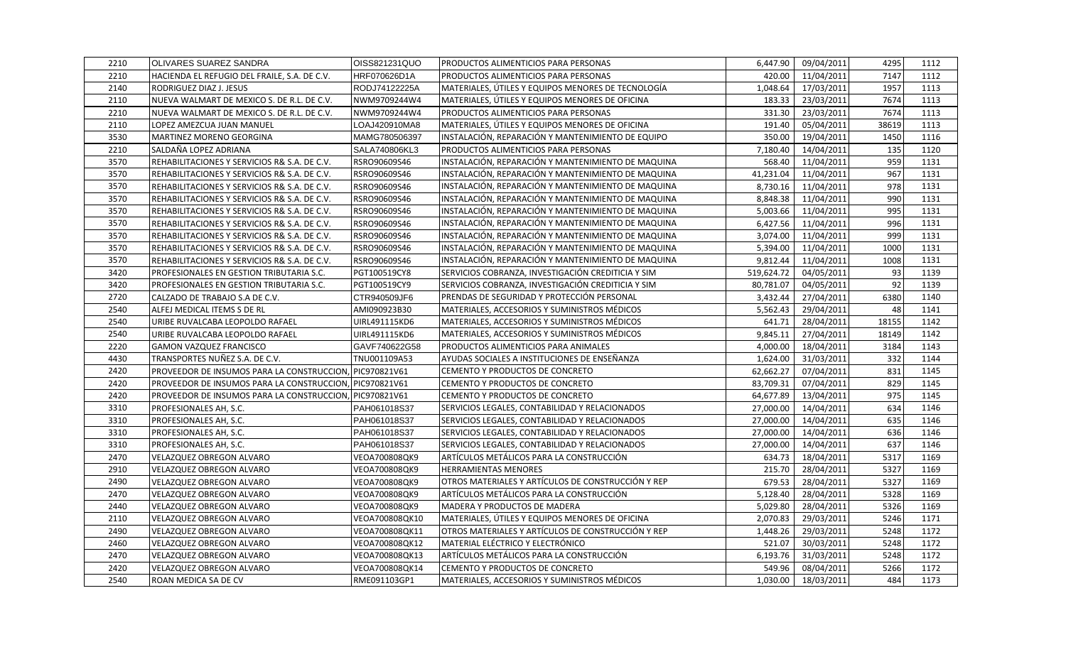| 2210 | <b>OLIVARES SUAREZ SANDRA</b>                           | <b>OISS821231QUO</b> | <b>PRODUCTOS ALIMENTICIOS PARA PERSONAS</b>        | 6,447.90   | 09/04/2011 | 4295  | 1112 |
|------|---------------------------------------------------------|----------------------|----------------------------------------------------|------------|------------|-------|------|
| 2210 | HACIENDA EL REFUGIO DEL FRAILE, S.A. DE C.V.            | HRF070626D1A         | PRODUCTOS ALIMENTICIOS PARA PERSONAS               | 420.00     | 11/04/2011 | 7147  | 1112 |
| 2140 | RODRIGUEZ DIAZ J. JESUS                                 | RODJ74122225A        | MATERIALES, ÚTILES Y EQUIPOS MENORES DE TECNOLOGÍA | 1,048.64   | 17/03/2011 | 1957  | 1113 |
| 2110 | NUEVA WALMART DE MEXICO S. DE R.L. DE C.V.              | NWM9709244W4         | MATERIALES, ÚTILES Y EQUIPOS MENORES DE OFICINA    | 183.33     | 23/03/2011 | 7674  | 1113 |
| 2210 | NUEVA WALMART DE MEXICO S. DE R.L. DE C.V.              | NWM9709244W4         | <b>PRODUCTOS ALIMENTICIOS PARA PERSONAS</b>        | 331.30     | 23/03/2011 | 7674  | 1113 |
| 2110 | LOPEZ AMEZCUA JUAN MANUEL                               | LOAJ420910MA8        | MATERIALES, ÚTILES Y EQUIPOS MENORES DE OFICINA    | 191.40     | 05/04/2011 | 38619 | 1113 |
| 3530 | MARTINEZ MORENO GEORGINA                                | MAMG780506397        | INSTALACIÓN, REPARACIÓN Y MANTENIMIENTO DE EQUIPO  | 350.00     | 19/04/2011 | 1450  | 1116 |
| 2210 | SALDAÑA LOPEZ ADRIANA                                   | SALA740806KL3        | PRODUCTOS ALIMENTICIOS PARA PERSONAS               | 7,180.40   | 14/04/2011 | 135   | 1120 |
| 3570 | REHABILITACIONES Y SERVICIOS R& S.A. DE C.V.            | RSRO90609S46         | INSTALACIÓN, REPARACIÓN Y MANTENIMIENTO DE MAQUINA | 568.40     | 11/04/2011 | 959   | 1131 |
| 3570 | REHABILITACIONES Y SERVICIOS R& S.A. DE C.V.            | RSRO90609S46         | INSTALACIÓN, REPARACIÓN Y MANTENIMIENTO DE MAQUINA | 41,231.04  | 11/04/2011 | 967   | 1131 |
| 3570 | REHABILITACIONES Y SERVICIOS R& S.A. DE C.V.            | RSRO90609S46         | INSTALACIÓN, REPARACIÓN Y MANTENIMIENTO DE MAQUINA | 8,730.16   | 11/04/2011 | 978   | 1131 |
| 3570 | REHABILITACIONES Y SERVICIOS R& S.A. DE C.V.            | RSRO90609S46         | INSTALACIÓN, REPARACIÓN Y MANTENIMIENTO DE MAQUINA | 8,848.38   | 11/04/2011 | 990   | 1131 |
| 3570 | REHABILITACIONES Y SERVICIOS R& S.A. DE C.V.            | RSRO90609S46         | INSTALACIÓN, REPARACIÓN Y MANTENIMIENTO DE MAQUINA | 5,003.66   | 11/04/2011 | 995   | 1131 |
| 3570 | REHABILITACIONES Y SERVICIOS R& S.A. DE C.V.            | RSRO90609S46         | INSTALACIÓN, REPARACIÓN Y MANTENIMIENTO DE MAQUINA | 6,427.56   | 11/04/2011 | 996   | 1131 |
| 3570 | REHABILITACIONES Y SERVICIOS R& S.A. DE C.V.            | RSRO90609S46         | INSTALACIÓN, REPARACIÓN Y MANTENIMIENTO DE MAQUINA | 3,074.00   | 11/04/2011 | 999   | 1131 |
| 3570 | REHABILITACIONES Y SERVICIOS R& S.A. DE C.V.            | RSRO90609S46         | INSTALACIÓN, REPARACIÓN Y MANTENIMIENTO DE MAQUINA | 5,394.00   | 11/04/2011 | 1000  | 1131 |
| 3570 | REHABILITACIONES Y SERVICIOS R& S.A. DE C.V.            | RSRO90609S46         | INSTALACIÓN, REPARACIÓN Y MANTENIMIENTO DE MAQUINA | 9,812.44   | 11/04/2011 | 1008  | 1131 |
| 3420 | PROFESIONALES EN GESTION TRIBUTARIA S.C.                | PGT100519CY8         | SERVICIOS COBRANZA, INVESTIGACIÓN CREDITICIA Y SIM | 519,624.72 | 04/05/2011 | 93    | 1139 |
| 3420 | PROFESIONALES EN GESTION TRIBUTARIA S.C.                | PGT100519CY9         | SERVICIOS COBRANZA, INVESTIGACIÓN CREDITICIA Y SIM | 80,781.07  | 04/05/2011 | 92    | 1139 |
| 2720 | CALZADO DE TRABAJO S.A DE C.V.                          | CTR940509JF6         | PRENDAS DE SEGURIDAD Y PROTECCIÓN PERSONAL         | 3,432.44   | 27/04/2011 | 6380  | 1140 |
| 2540 | ALFEJ MEDICAL ITEMS S DE RL                             | AMI090923B30         | MATERIALES, ACCESORIOS Y SUMINISTROS MÉDICOS       | 5,562.43   | 29/04/2011 | 48    | 1141 |
| 2540 | URIBE RUVALCABA LEOPOLDO RAFAEL                         | UIRL491115KD6        | MATERIALES, ACCESORIOS Y SUMINISTROS MÉDICOS       | 641.71     | 28/04/2011 | 18155 | 1142 |
| 2540 | URIBE RUVALCABA LEOPOLDO RAFAEL                         | UIRL491115KD6        | MATERIALES, ACCESORIOS Y SUMINISTROS MÉDICOS       | 9,845.11   | 27/04/2011 | 18149 | 1142 |
| 2220 | <b>GAMON VAZQUEZ FRANCISCO</b>                          | GAVF740622G58        | <b>PRODUCTOS ALIMENTICIOS PARA ANIMALES</b>        | 4,000.00   | 18/04/2011 | 3184  | 1143 |
| 4430 | TRANSPORTES NUÑEZ S.A. DE C.V.                          | TNU001109A53         | AYUDAS SOCIALES A INSTITUCIONES DE ENSEÑANZA       | 1,624.00   | 31/03/2011 | 332   | 1144 |
| 2420 | PROVEEDOR DE INSUMOS PARA LA CONSTRUCCION, PIC970821V61 |                      | CEMENTO Y PRODUCTOS DE CONCRETO                    | 62,662.27  | 07/04/2011 | 831   | 1145 |
| 2420 | PROVEEDOR DE INSUMOS PARA LA CONSTRUCCION, PIC970821V61 |                      | CEMENTO Y PRODUCTOS DE CONCRETO                    | 83,709.31  | 07/04/2011 | 829   | 1145 |
| 2420 | PROVEEDOR DE INSUMOS PARA LA CONSTRUCCION, PIC970821V61 |                      | CEMENTO Y PRODUCTOS DE CONCRETO                    | 64,677.89  | 13/04/2011 | 975   | 1145 |
| 3310 | PROFESIONALES AH, S.C.                                  | PAH061018S37         | SERVICIOS LEGALES, CONTABILIDAD Y RELACIONADOS     | 27,000.00  | 14/04/2011 | 634   | 1146 |
| 3310 | PROFESIONALES AH, S.C.                                  | PAH061018S37         | SERVICIOS LEGALES, CONTABILIDAD Y RELACIONADOS     | 27,000.00  | 14/04/2011 | 635   | 1146 |
| 3310 | PROFESIONALES AH, S.C.                                  | PAH061018S37         | SERVICIOS LEGALES, CONTABILIDAD Y RELACIONADOS     | 27,000.00  | 14/04/2011 | 636   | 1146 |
| 3310 | PROFESIONALES AH, S.C.                                  | PAH061018S37         | SERVICIOS LEGALES, CONTABILIDAD Y RELACIONADOS     | 27,000.00  | 14/04/2011 | 637   | 1146 |
| 2470 | <b>VELAZQUEZ OBREGON ALVARO</b>                         | VEOA700808QK9        | ARTÍCULOS METÁLICOS PARA LA CONSTRUCCIÓN           | 634.73     | 18/04/2011 | 5317  | 1169 |
| 2910 | VELAZQUEZ OBREGON ALVARO                                | VEOA700808QK9        | <b>HERRAMIENTAS MENORES</b>                        | 215.70     | 28/04/2011 | 5327  | 1169 |
| 2490 | VELAZQUEZ OBREGON ALVARO                                | VEOA700808QK9        | OTROS MATERIALES Y ARTÍCULOS DE CONSTRUCCIÓN Y REP | 679.53     | 28/04/2011 | 5327  | 1169 |
| 2470 | VELAZQUEZ OBREGON ALVARO                                | VEOA700808QK9        | ARTÍCULOS METÁLICOS PARA LA CONSTRUCCIÓN           | 5,128.40   | 28/04/2011 | 5328  | 1169 |
| 2440 | VELAZQUEZ OBREGON ALVARO                                | VEOA700808QK9        | MADERA Y PRODUCTOS DE MADERA                       | 5,029.80   | 28/04/2011 | 5326  | 1169 |
| 2110 | VELAZQUEZ OBREGON ALVARO                                | VEOA700808QK10       | MATERIALES, ÚTILES Y EQUIPOS MENORES DE OFICINA    | 2,070.83   | 29/03/2011 | 5246  | 1171 |
| 2490 | VELAZQUEZ OBREGON ALVARO                                | VEOA700808QK11       | OTROS MATERIALES Y ARTÍCULOS DE CONSTRUCCIÓN Y REP | 1,448.26   | 29/03/2011 | 5248  | 1172 |
| 2460 | VELAZQUEZ OBREGON ALVARO                                | VEOA700808QK12       | MATERIAL ELÉCTRICO Y ELECTRÓNICO                   | 521.07     | 30/03/2011 | 5248  | 1172 |
| 2470 | VELAZQUEZ OBREGON ALVARO                                | VEOA700808QK13       | ARTÍCULOS METÁLICOS PARA LA CONSTRUCCIÓN           | 6,193.76   | 31/03/2011 | 5248  | 1172 |
| 2420 | VELAZQUEZ OBREGON ALVARO                                | VEOA700808QK14       | CEMENTO Y PRODUCTOS DE CONCRETO                    | 549.96     | 08/04/2011 | 5266  | 1172 |
| 2540 | ROAN MEDICA SA DE CV                                    | RME091103GP1         | MATERIALES, ACCESORIOS Y SUMINISTROS MÉDICOS       | 1.030.00   | 18/03/2011 | 484   | 1173 |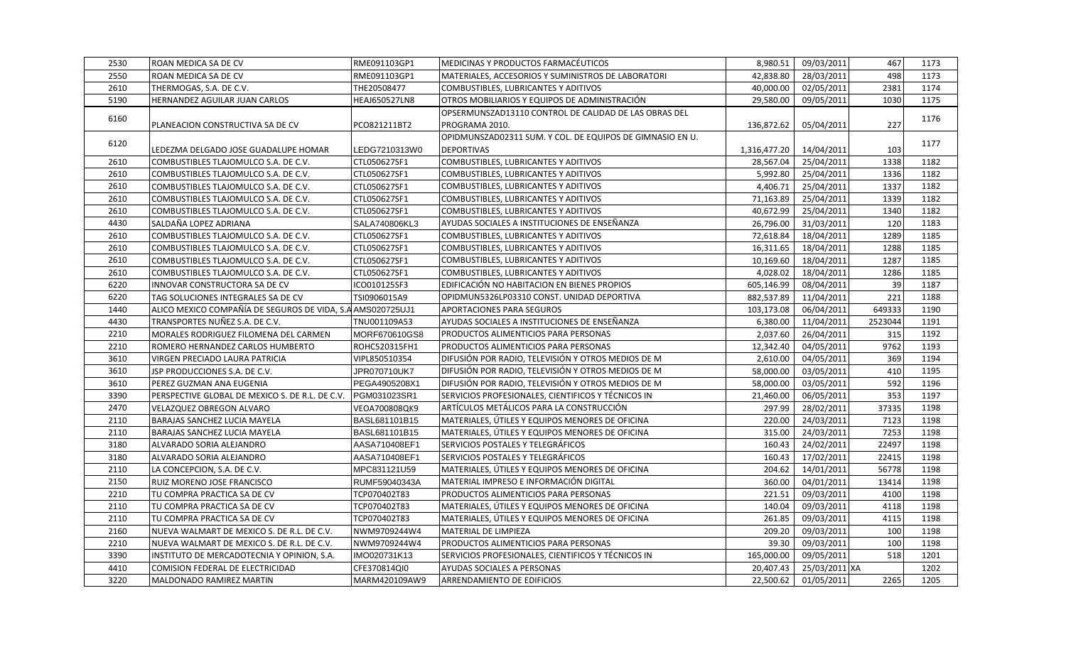| 2530 | <b>ROAN MEDICA SA DE CV</b>                                | RME091103GP1         | MEDICINAS Y PRODUCTOS FARMACÉUTICOS                       | 8,980.51     | 09/03/2011    | 467     | 1173 |
|------|------------------------------------------------------------|----------------------|-----------------------------------------------------------|--------------|---------------|---------|------|
| 2550 | ROAN MEDICA SA DE CV                                       | RME091103GP1         | MATERIALES, ACCESORIOS Y SUMINISTROS DE LABORATORI        | 42.838.80    | 28/03/2011    | 498     | 1173 |
| 2610 | THERMOGAS, S.A. DE C.V.                                    | THE20508477          | COMBUSTIBLES, LUBRICANTES Y ADITIVOS                      | 40,000.00    | 02/05/2011    | 2381    | 1174 |
| 5190 | HERNANDEZ AGUILAR JUAN CARLOS                              | <b>HEAJ650527LN8</b> | OTROS MOBILIARIOS Y EQUIPOS DE ADMINISTRACIÓN             | 29,580.00    | 09/05/2011    | 1030    | 1175 |
| 6160 |                                                            |                      | OPSERMUNSZAD13110 CONTROL DE CALIDAD DE LAS OBRAS DEL     |              |               |         | 1176 |
|      | PLANEACION CONSTRUCTIVA SA DE CV                           | PCO821211BT2         | PROGRAMA 2010.                                            | 136,872.62   | 05/04/2011    | 227     |      |
| 6120 |                                                            |                      | OPIDMUNSZAD02311 SUM. Y COL. DE EQUIPOS DE GIMNASIO EN U. |              |               |         | 1177 |
|      | LEDEZMA DELGADO JOSE GUADALUPE HOMAR                       | LEDG7210313W0        | DEPORTIVAS                                                | 1,316,477.20 | 14/04/2011    | 103     |      |
| 2610 | COMBUSTIBLES TLAJOMULCO S.A. DE C.V.                       | CTL050627SF1         | COMBUSTIBLES, LUBRICANTES Y ADITIVOS                      | 28,567.04    | 25/04/2011    | 1338    | 1182 |
| 2610 | COMBUSTIBLES TLAJOMULCO S.A. DE C.V.                       | CTL050627SF1         | COMBUSTIBLES, LUBRICANTES Y ADITIVOS                      | 5,992.80     | 25/04/2011    | 1336    | 1182 |
| 2610 | COMBUSTIBLES TLAJOMULCO S.A. DE C.V.                       | CTL050627SF1         | COMBUSTIBLES, LUBRICANTES Y ADITIVOS                      | 4,406.71     | 25/04/2011    | 1337    | 1182 |
| 2610 | COMBUSTIBLES TLAJOMULCO S.A. DE C.V.                       | CTL050627SF1         | COMBUSTIBLES, LUBRICANTES Y ADITIVOS                      | 71,163.89    | 25/04/2011    | 1339    | 1182 |
| 2610 | COMBUSTIBLES TLAJOMULCO S.A. DE C.V.                       | CTL050627SF1         | COMBUSTIBLES, LUBRICANTES Y ADITIVOS                      | 40,672.99    | 25/04/2011    | 1340    | 1182 |
| 4430 | SALDAÑA LOPEZ ADRIANA                                      | SALA740806KL3        | AYUDAS SOCIALES A INSTITUCIONES DE ENSEÑANZA              | 26,796.00    | 31/03/2011    | 120     | 1183 |
| 2610 | COMBUSTIBLES TLAJOMULCO S.A. DE C.V.                       | CTL050627SF1         | COMBUSTIBLES, LUBRICANTES Y ADITIVOS                      | 72,618.84    | 18/04/2011    | 1289    | 1185 |
| 2610 | COMBUSTIBLES TLAJOMULCO S.A. DE C.V.                       | CTL050627SF1         | COMBUSTIBLES, LUBRICANTES Y ADITIVOS                      | 16,311.65    | 18/04/2011    | 1288    | 1185 |
| 2610 | COMBUSTIBLES TLAJOMULCO S.A. DE C.V.                       | CTL050627SF1         | COMBUSTIBLES, LUBRICANTES Y ADITIVOS                      | 10,169.60    | 18/04/2011    | 1287    | 1185 |
| 2610 | COMBUSTIBLES TLAJOMULCO S.A. DE C.V.                       | CTL050627SF1         | COMBUSTIBLES, LUBRICANTES Y ADITIVOS                      | 4,028.02     | 18/04/2011    | 1286    | 1185 |
| 6220 | INNOVAR CONSTRUCTORA SA DE CV                              | ICO010125SF3         | EDIFICACIÓN NO HABITACION EN BIENES PROPIOS               | 605,146.99   | 08/04/2011    | 39      | 1187 |
| 6220 | TAG SOLUCIONES INTEGRALES SA DE CV                         | TSI0906015A9         | OPIDMUN5326LP03310 CONST. UNIDAD DEPORTIVA                | 882,537.89   | 11/04/2011    | 221     | 1188 |
| 1440 | ALICO MEXICO COMPAÑÍA DE SEGUROS DE VIDA, S.A AMS020725UJ1 |                      | APORTACIONES PARA SEGUROS                                 | 103,173.08   | 06/04/2011    | 649333  | 1190 |
| 4430 | TRANSPORTES NUÑEZ S.A. DE C.V.                             | TNU001109A53         | AYUDAS SOCIALES A INSTITUCIONES DE ENSEÑANZA              | 6,380.00     | 11/04/2011    | 2523044 | 1191 |
| 2210 | MORALES RODRIGUEZ FILOMENA DEL CARMEN                      | MORF670610GS8        | <b>PRODUCTOS ALIMENTICIOS PARA PERSONAS</b>               | 2,037.60     | 26/04/2011    | 315     | 1192 |
| 2210 | ROMERO HERNANDEZ CARLOS HUMBERTO                           | ROHC520315FH1        | PRODUCTOS ALIMENTICIOS PARA PERSONAS                      | 12,342.40    | 04/05/2011    | 9762    | 1193 |
| 3610 | VIRGEN PRECIADO LAURA PATRICIA                             | VIPL850510354        | DIFUSIÓN POR RADIO, TELEVISIÓN Y OTROS MEDIOS DE M        | 2,610.00     | 04/05/2011    | 369     | 1194 |
| 3610 | JSP PRODUCCIONES S.A. DE C.V.                              | JPR070710UK7         | DIFUSIÓN POR RADIO, TELEVISIÓN Y OTROS MEDIOS DE M        | 58,000.00    | 03/05/2011    | 410     | 1195 |
| 3610 | PEREZ GUZMAN ANA EUGENIA                                   | PEGA4905208X1        | DIFUSIÓN POR RADIO, TELEVISIÓN Y OTROS MEDIOS DE M        | 58,000.00    | 03/05/2011    | 592     | 1196 |
| 3390 | PERSPECTIVE GLOBAL DE MEXICO S. DE R.L. DE C.V.            | PGM031023SR1         | SERVICIOS PROFESIONALES, CIENTIFICOS Y TÉCNICOS IN        | 21,460.00    | 06/05/2011    | 353     | 1197 |
| 2470 | VELAZQUEZ OBREGON ALVARO                                   | VEOA700808QK9        | ARTÍCULOS METÁLICOS PARA LA CONSTRUCCIÓN                  | 297.99       | 28/02/2011    | 37335   | 1198 |
| 2110 | <b>BARAJAS SANCHEZ LUCIA MAYELA</b>                        | BASL681101B15        | MATERIALES, ÚTILES Y EQUIPOS MENORES DE OFICINA           | 220.00       | 24/03/2011    | 7123    | 1198 |
| 2110 | BARAJAS SANCHEZ LUCIA MAYELA                               | BASL681101B15        | IMATERIALES, ÚTILES Y EQUIPOS MENORES DE OFICINA          | 315.00       | 24/03/2011    | 7253    | 1198 |
| 3180 | ALVARADO SORIA ALEJANDRO                                   | AASA710408EF1        | SERVICIOS POSTALES Y TELEGRÁFICOS                         | 160.43       | 24/02/2011    | 22497   | 1198 |
| 3180 | ALVARADO SORIA ALEJANDRO                                   | AASA710408EF1        | SERVICIOS POSTALES Y TELEGRÁFICOS                         | 160.43       | 17/02/2011    | 22415   | 1198 |
| 2110 | LA CONCEPCION, S.A. DE C.V.                                | MPC831121U59         | MATERIALES, ÚTILES Y EQUIPOS MENORES DE OFICINA           | 204.62       | 14/01/2011    | 56778   | 1198 |
| 2150 | RUIZ MORENO JOSE FRANCISCO                                 | RUMF59040343A        | MATERIAL IMPRESO E INFORMACIÓN DIGITAL                    | 360.00       | 04/01/2011    | 13414   | 1198 |
| 2210 | TU COMPRA PRACTICA SA DE CV                                | TCP070402T83         | PRODUCTOS ALIMENTICIOS PARA PERSONAS                      | 221.51       | 09/03/2011    | 4100    | 1198 |
| 2110 | TU COMPRA PRACTICA SA DE CV                                | TCP070402T83         | MATERIALES, ÚTILES Y EQUIPOS MENORES DE OFICINA           | 140.04       | 09/03/2011    | 4118    | 1198 |
| 2110 | TU COMPRA PRACTICA SA DE CV                                | TCP070402T83         | MATERIALES, ÚTILES Y EQUIPOS MENORES DE OFICINA           | 261.85       | 09/03/2011    | 4115    | 1198 |
| 2160 | NUEVA WALMART DE MEXICO S. DE R.L. DE C.V.                 | NWM9709244W4         | MATERIAL DE LIMPIEZA                                      | 209.20       | 09/03/2011    | 100     | 1198 |
| 2210 | NUEVA WALMART DE MEXICO S. DE R.L. DE C.V.                 | NWM9709244W4         | PRODUCTOS ALIMENTICIOS PARA PERSONAS                      | 39.30        | 09/03/2011    | 100     | 1198 |
| 3390 | INSTITUTO DE MERCADOTECNIA Y OPINION, S.A.                 | IMO020731K13         | SERVICIOS PROFESIONALES, CIENTIFICOS Y TÉCNICOS IN        | 165,000.00   | 09/05/2011    | 518     | 1201 |
| 4410 | COMISION FEDERAL DE ELECTRICIDAD                           | CFE370814QI0         | AYUDAS SOCIALES A PERSONAS                                | 20,407.43    | 25/03/2011 XA |         | 1202 |
| 3220 | <b>MALDONADO RAMIREZ MARTIN</b>                            | MARM420109AW9        | IARRENDAMIENTO DE EDIFICIOS                               | 22,500.62    | 01/05/2011    | 2265    | 1205 |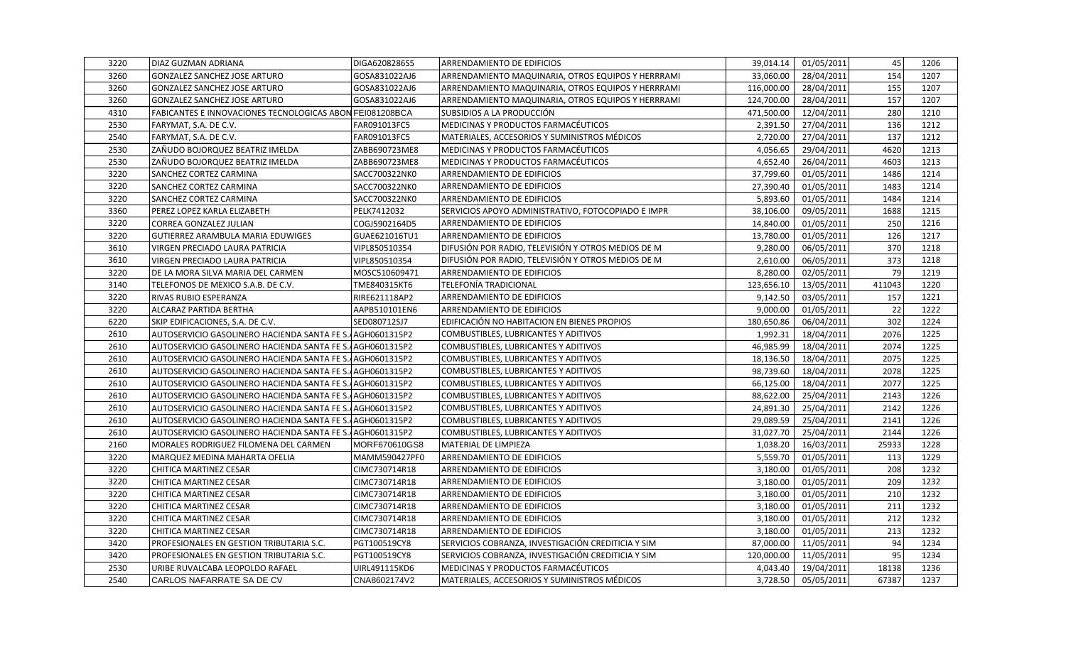| 3220 | DIAZ GUZMAN ADRIANA                                       | DIGA6208286S5 | <b>ARRENDAMIENTO DE EDIFICIOS</b>                  | 39,014.14  | 01/05/2011 | 45     | 1206 |
|------|-----------------------------------------------------------|---------------|----------------------------------------------------|------------|------------|--------|------|
| 3260 | <b>GONZALEZ SANCHEZ JOSE ARTURO</b>                       | GOSA831022AJ6 | ARRENDAMIENTO MAQUINARIA, OTROS EQUIPOS Y HERRRAMI | 33,060.00  | 28/04/2011 | 154    | 1207 |
| 3260 | GONZALEZ SANCHEZ JOSE ARTURO                              | GOSA831022AJ6 | ARRENDAMIENTO MAQUINARIA, OTROS EQUIPOS Y HERRRAMI | 116,000.00 | 28/04/2011 | 155    | 1207 |
| 3260 | GONZALEZ SANCHEZ JOSE ARTURO                              | GOSA831022AJ6 | ARRENDAMIENTO MAQUINARIA, OTROS EQUIPOS Y HERRRAMI | 124,700.00 | 28/04/2011 | 157    | 1207 |
| 4310 | FABICANTES E INNOVACIONES TECNOLOGICAS ABON FEI081208BCA  |               | SUBSIDIOS A LA PRODUCCIÓN                          | 471,500.00 | 12/04/2011 | 280    | 1210 |
| 2530 | FARYMAT, S.A. DE C.V.                                     | FAR091013FC5  | MEDICINAS Y PRODUCTOS FARMACÉUTICOS                | 2,391.50   | 27/04/2011 | 136    | 1212 |
| 2540 | FARYMAT, S.A. DE C.V.                                     | FAR091013FC5  | MATERIALES, ACCESORIOS Y SUMINISTROS MÉDICOS       | 2,720.00   | 27/04/2011 | 137    | 1212 |
| 2530 | ZAÑUDO BOJORQUEZ BEATRIZ IMELDA                           | ZABB690723ME8 | MEDICINAS Y PRODUCTOS FARMACÉUTICOS                | 4,056.65   | 29/04/2011 | 4620   | 1213 |
| 2530 | ZAÑUDO BOJORQUEZ BEATRIZ IMELDA                           | ZABB690723ME8 | MEDICINAS Y PRODUCTOS FARMACÉUTICOS                | 4,652.40   | 26/04/2011 | 4603   | 1213 |
| 3220 | SANCHEZ CORTEZ CARMINA                                    | SACC700322NK0 | ARRENDAMIENTO DE EDIFICIOS                         | 37,799.60  | 01/05/2011 | 1486   | 1214 |
| 3220 | SANCHEZ CORTEZ CARMINA                                    | SACC700322NK0 | ARRENDAMIENTO DE EDIFICIOS                         | 27,390.40  | 01/05/2011 | 1483   | 1214 |
| 3220 | SANCHEZ CORTEZ CARMINA                                    | SACC700322NK0 | ARRENDAMIENTO DE EDIFICIOS                         | 5,893.60   | 01/05/2011 | 1484   | 1214 |
| 3360 | PEREZ LOPEZ KARLA ELIZABETH                               | PELK7412032   | SERVICIOS APOYO ADMINISTRATIVO, FOTOCOPIADO E IMPR | 38,106.00  | 09/05/2011 | 1688   | 1215 |
| 3220 | <b>CORREA GONZALEZ JULIAN</b>                             | COGJ5902164D5 | ARRENDAMIENTO DE EDIFICIOS                         | 14,840.00  | 01/05/2011 | 250    | 1216 |
| 3220 | GUTIERREZ ARAMBULA MARIA EDUWIGES                         | GUAE621016TU1 | ARRENDAMIENTO DE EDIFICIOS                         | 13,780.00  | 01/05/2011 | 126    | 1217 |
| 3610 | VIRGEN PRECIADO LAURA PATRICIA                            | VIPL850510354 | DIFUSIÓN POR RADIO, TELEVISIÓN Y OTROS MEDIOS DE M | 9,280.00   | 06/05/2011 | 370    | 1218 |
| 3610 | VIRGEN PRECIADO LAURA PATRICIA                            | VIPL850510354 | DIFUSIÓN POR RADIO, TELEVISIÓN Y OTROS MEDIOS DE M | 2,610.00   | 06/05/2011 | 373    | 1218 |
| 3220 | DE LA MORA SILVA MARIA DEL CARMEN                         | MOSC510609471 | ARRENDAMIENTO DE EDIFICIOS                         | 8,280.00   | 02/05/2011 | 79     | 1219 |
| 3140 | TELEFONOS DE MEXICO S.A.B. DE C.V.                        | TME840315KT6  | TELEFONÍA TRADICIONAL                              | 123,656.10 | 13/05/2011 | 411043 | 1220 |
| 3220 | RIVAS RUBIO ESPERANZA                                     | RIRE621118AP2 | ARRENDAMIENTO DE EDIFICIOS                         | 9,142.50   | 03/05/2011 | 157    | 1221 |
| 3220 | ALCARAZ PARTIDA BERTHA                                    | AAPB510101EN6 | ARRENDAMIENTO DE EDIFICIOS                         | 9,000.00   | 01/05/2011 | 22     | 1222 |
| 6220 | SKIP EDIFICACIONES, S.A. DE C.V.                          | SED080712SJ7  | EDIFICACIÓN NO HABITACION EN BIENES PROPIOS        | 180,650.86 | 06/04/2011 | 302    | 1224 |
| 2610 | AUTOSERVICIO GASOLINERO HACIENDA SANTA FE S. AGH0601315P2 |               | COMBUSTIBLES, LUBRICANTES Y ADITIVOS               | 1,992.31   | 18/04/2011 | 2076   | 1225 |
| 2610 | AUTOSERVICIO GASOLINERO HACIENDA SANTA FE S.AAGH0601315P2 |               | COMBUSTIBLES, LUBRICANTES Y ADITIVOS               | 46,985.99  | 18/04/2011 | 2074   | 1225 |
| 2610 | AUTOSERVICIO GASOLINERO HACIENDA SANTA FE S. AGH0601315P2 |               | COMBUSTIBLES, LUBRICANTES Y ADITIVOS               | 18,136.50  | 18/04/2011 | 2075   | 1225 |
| 2610 | AUTOSERVICIO GASOLINERO HACIENDA SANTA FE S. AGH0601315P2 |               | COMBUSTIBLES, LUBRICANTES Y ADITIVOS               | 98,739.60  | 18/04/2011 | 2078   | 1225 |
| 2610 | AUTOSERVICIO GASOLINERO HACIENDA SANTA FE S. AGH0601315P2 |               | COMBUSTIBLES, LUBRICANTES Y ADITIVOS               | 66,125.00  | 18/04/2011 | 2077   | 1225 |
| 2610 | AUTOSERVICIO GASOLINERO HACIENDA SANTA FE S. AGH0601315P2 |               | COMBUSTIBLES, LUBRICANTES Y ADITIVOS               | 88,622.00  | 25/04/2011 | 2143   | 1226 |
| 2610 | AUTOSERVICIO GASOLINERO HACIENDA SANTA FE S. AGH0601315P2 |               | COMBUSTIBLES, LUBRICANTES Y ADITIVOS               | 24,891.30  | 25/04/2011 | 2142   | 1226 |
| 2610 | AUTOSERVICIO GASOLINERO HACIENDA SANTA FE S. AGH0601315P2 |               | COMBUSTIBLES, LUBRICANTES Y ADITIVOS               | 29,089.59  | 25/04/2011 | 2141   | 1226 |
| 2610 | AUTOSERVICIO GASOLINERO HACIENDA SANTA FE S. AGH0601315P2 |               | COMBUSTIBLES, LUBRICANTES Y ADITIVOS               | 31,027.70  | 25/04/2011 | 2144   | 1226 |
| 2160 | MORALES RODRIGUEZ FILOMENA DEL CARMEN                     | MORF670610GS8 | MATERIAL DE LIMPIEZA                               | 1,038.20   | 16/03/2011 | 25933  | 1228 |
| 3220 | MARQUEZ MEDINA MAHARTA OFELIA                             | MAMM590427PF0 | ARRENDAMIENTO DE EDIFICIOS                         | 5,559.70   | 01/05/2011 | 113    | 1229 |
| 3220 | CHITICA MARTINEZ CESAR                                    | CIMC730714R18 | ARRENDAMIENTO DE EDIFICIOS                         | 3,180.00   | 01/05/2011 | 208    | 1232 |
| 3220 | CHITICA MARTINEZ CESAR                                    | CIMC730714R18 | ARRENDAMIENTO DE EDIFICIOS                         | 3,180.00   | 01/05/2011 | 209    | 1232 |
| 3220 | CHITICA MARTINEZ CESAR                                    | CIMC730714R18 | ARRENDAMIENTO DE EDIFICIOS                         | 3,180.00   | 01/05/2011 | 210    | 1232 |
| 3220 | CHITICA MARTINEZ CESAR                                    | CIMC730714R18 | ARRENDAMIENTO DE EDIFICIOS                         | 3,180.00   | 01/05/2011 | 211    | 1232 |
| 3220 | CHITICA MARTINEZ CESAR                                    | CIMC730714R18 | ARRENDAMIENTO DE EDIFICIOS                         | 3,180.00   | 01/05/2011 | 212    | 1232 |
| 3220 | CHITICA MARTINEZ CESAR                                    | CIMC730714R18 | ARRENDAMIENTO DE EDIFICIOS                         | 3,180.00   | 01/05/2011 | 213    | 1232 |
| 3420 | PROFESIONALES EN GESTION TRIBUTARIA S.C.                  | PGT100519CY8  | SERVICIOS COBRANZA, INVESTIGACIÓN CREDITICIA Y SIM | 87,000.00  | 11/05/2011 | 94     | 1234 |
| 3420 | PROFESIONALES EN GESTION TRIBUTARIA S.C.                  | PGT100519CY8  | SERVICIOS COBRANZA, INVESTIGACIÓN CREDITICIA Y SIM | 120,000.00 | 11/05/2011 | 95     | 1234 |
| 2530 | URIBE RUVALCABA LEOPOLDO RAFAEL                           | UIRL491115KD6 | MEDICINAS Y PRODUCTOS FARMACÉUTICOS                | 4,043.40   | 19/04/2011 | 18138  | 1236 |
| 2540 | CARLOS NAFARRATE SA DE CV                                 | CNA8602174V2  | MATERIALES, ACCESORIOS Y SUMINISTROS MÉDICOS       | 3.728.50   | 05/05/2011 | 67387  | 1237 |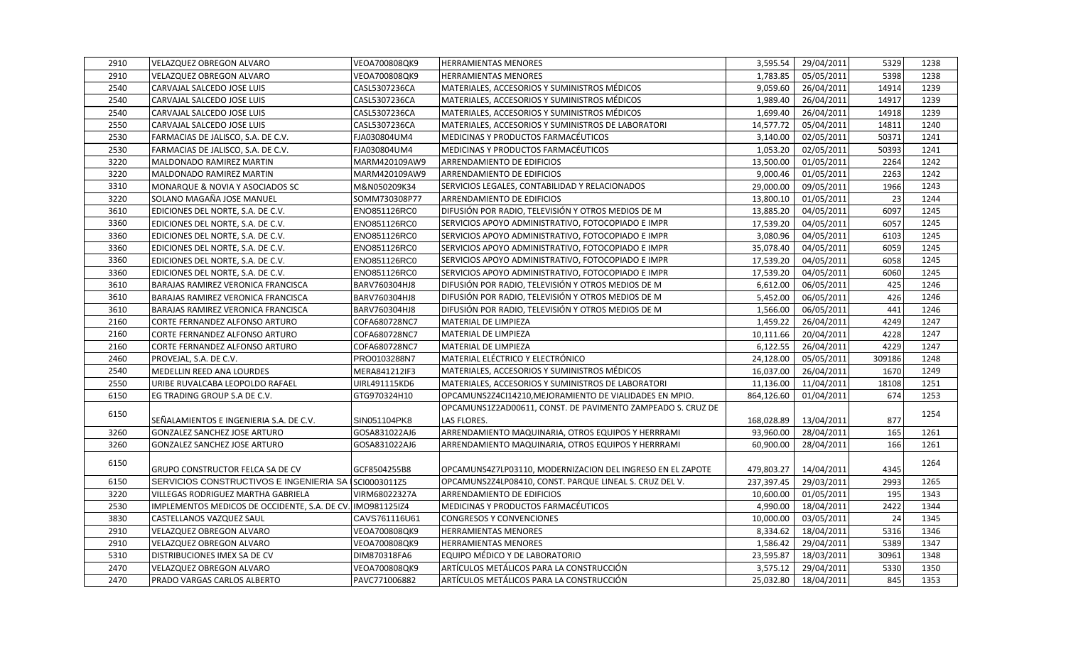| 2910 | <b>VELAZQUEZ OBREGON ALVARO</b>                            | VEOA700808QK9 | <b>HERRAMIENTAS MENORES</b>                                 | 3,595.54   | 29/04/2011 | 5329   | 1238 |
|------|------------------------------------------------------------|---------------|-------------------------------------------------------------|------------|------------|--------|------|
| 2910 | VELAZQUEZ OBREGON ALVARO                                   | VEOA700808QK9 | <b>HERRAMIENTAS MENORES</b>                                 | 1,783.85   | 05/05/2011 | 5398   | 1238 |
| 2540 | CARVAJAL SALCEDO JOSE LUIS                                 | CASL5307236CA | MATERIALES, ACCESORIOS Y SUMINISTROS MÉDICOS                | 9.059.60   | 26/04/2011 | 14914  | 1239 |
| 2540 | CARVAJAL SALCEDO JOSE LUIS                                 | CASL5307236CA | MATERIALES, ACCESORIOS Y SUMINISTROS MÉDICOS                | 1,989.40   | 26/04/2011 | 14917  | 1239 |
| 2540 | CARVAJAL SALCEDO JOSE LUIS                                 | CASL5307236CA | MATERIALES, ACCESORIOS Y SUMINISTROS MÉDICOS                | 1,699.40   | 26/04/2011 | 14918  | 1239 |
| 2550 | CARVAJAL SALCEDO JOSE LUIS                                 | CASL5307236CA | MATERIALES, ACCESORIOS Y SUMINISTROS DE LABORATORI          | 14,577.72  | 05/04/2011 | 14811  | 1240 |
| 2530 | FARMACIAS DE JALISCO, S.A. DE C.V.                         | FJA030804UM4  | MEDICINAS Y PRODUCTOS FARMACÉUTICOS                         | 3,140.00   | 02/05/2011 | 50371  | 1241 |
| 2530 | FARMACIAS DE JALISCO, S.A. DE C.V.                         | FJA030804UM4  | MEDICINAS Y PRODUCTOS FARMACÉUTICOS                         | 1,053.20   | 02/05/2011 | 50393  | 1241 |
| 3220 | MALDONADO RAMIREZ MARTIN                                   | MARM420109AW9 | ARRENDAMIENTO DE EDIFICIOS                                  | 13,500.00  | 01/05/2011 | 2264   | 1242 |
| 3220 | MALDONADO RAMIREZ MARTIN                                   | MARM420109AW9 | ARRENDAMIENTO DE EDIFICIOS                                  | 9,000.46   | 01/05/2011 | 2263   | 1242 |
| 3310 | MONARQUE & NOVIA Y ASOCIADOS SC                            | M&N050209K34  | SERVICIOS LEGALES, CONTABILIDAD Y RELACIONADOS              | 29,000.00  | 09/05/2011 | 1966   | 1243 |
| 3220 | SOLANO MAGAÑA JOSE MANUEL                                  | SOMM730308P77 | ARRENDAMIENTO DE EDIFICIOS                                  | 13,800.10  | 01/05/2011 | 23     | 1244 |
| 3610 | EDICIONES DEL NORTE, S.A. DE C.V.                          | ENO851126RC0  | DIFUSIÓN POR RADIO, TELEVISIÓN Y OTROS MEDIOS DE M          | 13,885.20  | 04/05/2011 | 6097   | 1245 |
| 3360 | EDICIONES DEL NORTE, S.A. DE C.V.                          | ENO851126RC0  | SERVICIOS APOYO ADMINISTRATIVO, FOTOCOPIADO E IMPR          | 17,539.20  | 04/05/2011 | 6057   | 1245 |
| 3360 | EDICIONES DEL NORTE, S.A. DE C.V.                          | ENO851126RC0  | SERVICIOS APOYO ADMINISTRATIVO, FOTOCOPIADO E IMPR          | 3,080.96   | 04/05/2011 | 6103   | 1245 |
| 3360 | EDICIONES DEL NORTE, S.A. DE C.V.                          | ENO851126RC0  | SERVICIOS APOYO ADMINISTRATIVO, FOTOCOPIADO E IMPR          | 35,078.40  | 04/05/2011 | 6059   | 1245 |
| 3360 | EDICIONES DEL NORTE, S.A. DE C.V.                          | ENO851126RC0  | SERVICIOS APOYO ADMINISTRATIVO, FOTOCOPIADO E IMPR          | 17,539.20  | 04/05/2011 | 6058   | 1245 |
| 3360 | EDICIONES DEL NORTE, S.A. DE C.V.                          | ENO851126RC0  | SERVICIOS APOYO ADMINISTRATIVO, FOTOCOPIADO E IMPR          | 17,539.20  | 04/05/2011 | 6060   | 1245 |
| 3610 | BARAJAS RAMIREZ VERONICA FRANCISCA                         | BARV760304HJ8 | DIFUSIÓN POR RADIO, TELEVISIÓN Y OTROS MEDIOS DE M          | 6,612.00   | 06/05/2011 | 425    | 1246 |
| 3610 | BARAJAS RAMIREZ VERONICA FRANCISCA                         | BARV760304HJ8 | DIFUSIÓN POR RADIO, TELEVISIÓN Y OTROS MEDIOS DE M          | 5,452.00   | 06/05/2011 | 426    | 1246 |
| 3610 | BARAJAS RAMIREZ VERONICA FRANCISCA                         | BARV760304HJ8 | DIFUSIÓN POR RADIO, TELEVISIÓN Y OTROS MEDIOS DE M          | 1,566.00   | 06/05/2011 | 441    | 1246 |
| 2160 | CORTE FERNANDEZ ALFONSO ARTURO                             | COFA680728NC7 | MATERIAL DE LIMPIEZA                                        | 1,459.22   | 26/04/2011 | 4249   | 1247 |
| 2160 | CORTE FERNANDEZ ALFONSO ARTURO                             | COFA680728NC7 | MATERIAL DE LIMPIEZA                                        | 10,111.66  | 20/04/2011 | 4228   | 1247 |
| 2160 | CORTE FERNANDEZ ALFONSO ARTURO                             | COFA680728NC7 | MATERIAL DE LIMPIEZA                                        | 6,122.55   | 26/04/2011 | 4229   | 1247 |
| 2460 | PROVEJAL, S.A. DE C.V.                                     | PRO0103288N7  | MATERIAL ELÉCTRICO Y ELECTRÓNICO                            | 24,128.00  | 05/05/2011 | 309186 | 1248 |
| 2540 | <b>MEDELLIN REED ANA LOURDES</b>                           | MERA841212IF3 | MATERIALES, ACCESORIOS Y SUMINISTROS MÉDICOS                | 16,037.00  | 26/04/2011 | 1670   | 1249 |
| 2550 | URIBE RUVALCABA LEOPOLDO RAFAEL                            | UIRL491115KD6 | MATERIALES, ACCESORIOS Y SUMINISTROS DE LABORATORI          | 11,136.00  | 11/04/2011 | 18108  | 1251 |
| 6150 | EG TRADING GROUP S.A DE C.V.                               | GTG970324H10  | OPCAMUNS2Z4CI14210, MEJORAMIENTO DE VIALIDADES EN MPIO.     | 864,126.60 | 01/04/2011 | 674    | 1253 |
| 6150 |                                                            |               | OPCAMUNS1Z2AD00611, CONST. DE PAVIMENTO ZAMPEADO S. CRUZ DE |            |            |        | 1254 |
|      | SEÑALAMIENTOS E INGENIERIA S.A. DE C.V.                    | SIN051104PK8  | LAS FLORES.                                                 | 168,028.89 | 13/04/2011 | 877    |      |
| 3260 | GONZALEZ SANCHEZ JOSE ARTURO                               | GOSA831022AJ6 | ARRENDAMIENTO MAQUINARIA, OTROS EQUIPOS Y HERRRAMI          | 93,960.00  | 28/04/2011 | 165    | 1261 |
| 3260 | GONZALEZ SANCHEZ JOSE ARTURO                               | GOSA831022AJ6 | ARRENDAMIENTO MAQUINARIA, OTROS EQUIPOS Y HERRRAMI          | 60.900.00  | 28/04/2011 | 166    | 1261 |
| 6150 |                                                            |               |                                                             |            |            |        | 1264 |
|      | <b>GRUPO CONSTRUCTOR FELCA SA DE CV</b>                    | GCF8504255B8  | OPCAMUNS4Z7LP03110, MODERNIZACION DEL INGRESO EN EL ZAPOTE  | 479,803.27 | 14/04/2011 | 4345   |      |
| 6150 | SERVICIOS CONSTRUCTIVOS E INGENIERIA SA ISCI0003011Z5      |               | OPCAMUNS2Z4LP08410, CONST. PARQUE LINEAL S. CRUZ DEL V.     | 237,397.45 | 29/03/2011 | 2993   | 1265 |
| 3220 | VILLEGAS RODRIGUEZ MARTHA GABRIELA                         | VIRM68022327A | ARRENDAMIENTO DE EDIFICIOS                                  | 10,600.00  | 01/05/2011 | 195    | 1343 |
| 2530 | IMPLEMENTOS MEDICOS DE OCCIDENTE, S.A. DE CV. IMO981125IZ4 |               | MEDICINAS Y PRODUCTOS FARMACÉUTICOS                         | 4,990.00   | 18/04/2011 | 2422   | 1344 |
| 3830 | CASTELLANOS VAZQUEZ SAUL                                   | CAVS761116U61 | <b>CONGRESOS Y CONVENCIONES</b>                             | 10,000.00  | 03/05/2011 | 24     | 1345 |
| 2910 | VELAZQUEZ OBREGON ALVARO                                   | VEOA700808QK9 | <b>HERRAMIENTAS MENORES</b>                                 | 8,334.62   | 18/04/2011 | 5316   | 1346 |
| 2910 | VELAZQUEZ OBREGON ALVARO                                   | VEOA700808QK9 | <b>HERRAMIENTAS MENORES</b>                                 | 1,586.42   | 29/04/2011 | 5389   | 1347 |
| 5310 | DISTRIBUCIONES IMEX SA DE CV                               | DIM870318FA6  | EQUIPO MÉDICO Y DE LABORATORIO                              | 23,595.87  | 18/03/2011 | 30961  | 1348 |
| 2470 | VELAZQUEZ OBREGON ALVARO                                   | VEOA700808QK9 | ARTÍCULOS METÁLICOS PARA LA CONSTRUCCIÓN                    | 3,575.12   | 29/04/2011 | 5330   | 1350 |
| 2470 | PRADO VARGAS CARLOS ALBERTO                                | PAVC771006882 | ARTÍCULOS METÁLICOS PARA LA CONSTRUCCIÓN                    | 25,032.80  | 18/04/2011 | 845    | 1353 |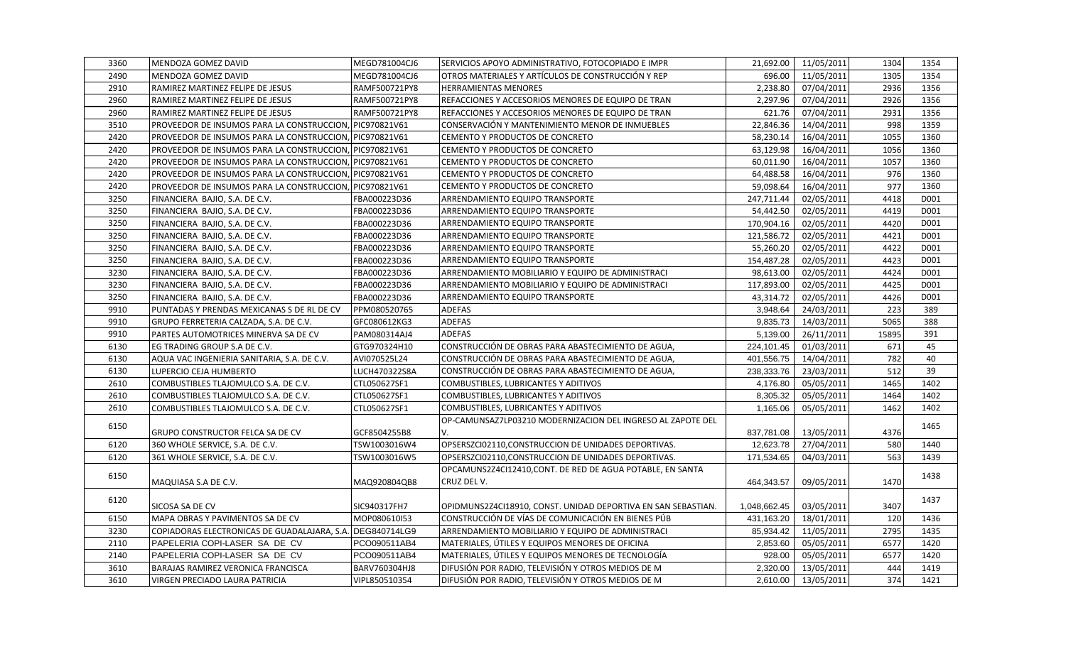| 3360 | MENDOZA GOMEZ DAVID                                       | MEGD781004CJ6 | SERVICIOS APOYO ADMINISTRATIVO, FOTOCOPIADO E IMPR            | 21,692.00    | 11/05/2011 | 1304  | 1354 |
|------|-----------------------------------------------------------|---------------|---------------------------------------------------------------|--------------|------------|-------|------|
| 2490 | MENDOZA GOMEZ DAVID                                       | MEGD781004CJ6 | OTROS MATERIALES Y ARTÍCULOS DE CONSTRUCCIÓN Y REP            | 696.00       | 11/05/2011 | 1305  | 1354 |
| 2910 | RAMIREZ MARTINEZ FELIPE DE JESUS                          | RAMF500721PY8 | <b>HERRAMIENTAS MENORES</b>                                   | 2,238.80     | 07/04/2011 | 2936  | 1356 |
| 2960 | RAMIREZ MARTINEZ FELIPE DE JESUS                          | RAMF500721PY8 | REFACCIONES Y ACCESORIOS MENORES DE EQUIPO DE TRAN            | 2,297.96     | 07/04/2011 | 2926  | 1356 |
| 2960 | RAMIREZ MARTINEZ FELIPE DE JESUS                          | RAMF500721PY8 | REFACCIONES Y ACCESORIOS MENORES DE EQUIPO DE TRAN            | 621.76       | 07/04/2011 | 2931  | 1356 |
| 3510 | PROVEEDOR DE INSUMOS PARA LA CONSTRUCCION, PIC970821V61   |               | CONSERVACIÓN Y MANTENIMIENTO MENOR DE INMUEBLES               | 22,846.36    | 14/04/2011 | 998   | 1359 |
| 2420 | PROVEEDOR DE INSUMOS PARA LA CONSTRUCCION, PIC970821V61   |               | CEMENTO Y PRODUCTOS DE CONCRETO                               | 58,230.14    | 16/04/2011 | 1055  | 1360 |
| 2420 | PROVEEDOR DE INSUMOS PARA LA CONSTRUCCION, PIC970821V61   |               | CEMENTO Y PRODUCTOS DE CONCRETO                               | 63,129.98    | 16/04/2011 | 1056  | 1360 |
| 2420 | PROVEEDOR DE INSUMOS PARA LA CONSTRUCCION, PIC970821V61   |               | CEMENTO Y PRODUCTOS DE CONCRETO                               | 60,011.90    | 16/04/2011 | 1057  | 1360 |
| 2420 | PROVEEDOR DE INSUMOS PARA LA CONSTRUCCION, PIC970821V61   |               | CEMENTO Y PRODUCTOS DE CONCRETO                               | 64,488.58    | 16/04/2011 | 976   | 1360 |
| 2420 | PROVEEDOR DE INSUMOS PARA LA CONSTRUCCION, PIC970821V61   |               | CEMENTO Y PRODUCTOS DE CONCRETO                               | 59,098.64    | 16/04/2011 | 977   | 1360 |
| 3250 | FINANCIERA BAJIO, S.A. DE C.V.                            | FBA000223D36  | ARRENDAMIENTO EQUIPO TRANSPORTE                               | 247,711.44   | 02/05/2011 | 4418  | D001 |
| 3250 | FINANCIERA BAJIO, S.A. DE C.V.                            | FBA000223D36  | ARRENDAMIENTO EQUIPO TRANSPORTE                               | 54,442.50    | 02/05/2011 | 4419  | D001 |
| 3250 | FINANCIERA BAJIO, S.A. DE C.V.                            | FBA000223D36  | ARRENDAMIENTO EQUIPO TRANSPORTE                               | 170,904.16   | 02/05/2011 | 4420  | D001 |
| 3250 | FINANCIERA BAJIO, S.A. DE C.V.                            | FBA000223D36  | ARRENDAMIENTO EQUIPO TRANSPORTE                               | 121,586.72   | 02/05/2011 | 4421  | D001 |
| 3250 | FINANCIERA BAJIO, S.A. DE C.V.                            | FBA000223D36  | ARRENDAMIENTO EQUIPO TRANSPORTE                               | 55,260.20    | 02/05/2011 | 4422  | D001 |
| 3250 | FINANCIERA BAJIO, S.A. DE C.V.                            | FBA000223D36  | ARRENDAMIENTO EQUIPO TRANSPORTE                               | 154,487.28   | 02/05/2011 | 4423  | D001 |
| 3230 | FINANCIERA BAJIO, S.A. DE C.V.                            | FBA000223D36  | ARRENDAMIENTO MOBILIARIO Y EQUIPO DE ADMINISTRACI             | 98,613.00    | 02/05/2011 | 4424  | D001 |
| 3230 | FINANCIERA BAJIO, S.A. DE C.V.                            | FBA000223D36  | ARRENDAMIENTO MOBILIARIO Y EQUIPO DE ADMINISTRACI             | 117,893.00   | 02/05/2011 | 4425  | D001 |
| 3250 | FINANCIERA BAJIO, S.A. DE C.V.                            | FBA000223D36  | ARRENDAMIENTO EQUIPO TRANSPORTE                               | 43,314.72    | 02/05/2011 | 4426  | D001 |
| 9910 | PUNTADAS Y PRENDAS MEXICANAS S DE RL DE CV                | PPM080520765  | <b>ADEFAS</b>                                                 | 3,948.64     | 24/03/2011 | 223   | 389  |
| 9910 | GRUPO FERRETERIA CALZADA, S.A. DE C.V.                    | GFC080612KG3  | <b>ADEFAS</b>                                                 | 9,835.73     | 14/03/2011 | 5065  | 388  |
| 9910 | PARTES AUTOMOTRICES MINERVA SA DE CV                      | PAM080314AJ4  | <b>ADEFAS</b>                                                 | 5,139.00     | 26/11/2011 | 15895 | 391  |
| 6130 | EG TRADING GROUP S.A DE C.V.                              | GTG970324H10  | CONSTRUCCIÓN DE OBRAS PARA ABASTECIMIENTO DE AGUA,            | 224,101.45   | 01/03/2011 | 671   | 45   |
| 6130 | AQUA VAC INGENIERIA SANITARIA, S.A. DE C.V.               | AVI070525L24  | CONSTRUCCIÓN DE OBRAS PARA ABASTECIMIENTO DE AGUA,            | 401,556.75   | 14/04/2011 | 782   | 40   |
| 6130 | LUPERCIO CEJA HUMBERTO                                    | LUCH470322S8A | CONSTRUCCIÓN DE OBRAS PARA ABASTECIMIENTO DE AGUA,            | 238,333.76   | 23/03/2011 | 512   | 39   |
| 2610 | COMBUSTIBLES TLAJOMULCO S.A. DE C.V.                      | CTL050627SF1  | COMBUSTIBLES, LUBRICANTES Y ADITIVOS                          | 4,176.80     | 05/05/2011 | 1465  | 1402 |
| 2610 | COMBUSTIBLES TLAJOMULCO S.A. DE C.V.                      | CTL050627SF1  | COMBUSTIBLES, LUBRICANTES Y ADITIVOS                          | 8,305.32     | 05/05/2011 | 1464  | 1402 |
| 2610 | COMBUSTIBLES TLAJOMULCO S.A. DE C.V.                      | CTL050627SF1  | COMBUSTIBLES, LUBRICANTES Y ADITIVOS                          | 1,165.06     | 05/05/2011 | 1462  | 1402 |
|      |                                                           |               | OP-CAMUNSAZ7LP03210 MODERNIZACION DEL INGRESO AL ZAPOTE DEL   |              |            |       |      |
| 6150 | GRUPO CONSTRUCTOR FELCA SA DE CV                          | GCF8504255B8  | V.                                                            | 837,781.08   | 13/05/2011 | 4376  | 1465 |
| 6120 | 360 WHOLE SERVICE, S.A. DE C.V.                           | TSW1003016W4  | OPSERSZCI02110, CONSTRUCCION DE UNIDADES DEPORTIVAS.          | 12,623.78    | 27/04/2011 | 580   | 1440 |
| 6120 | 361 WHOLE SERVICE, S.A. DE C.V.                           | TSW1003016W5  | OPSERSZCI02110, CONSTRUCCION DE UNIDADES DEPORTIVAS.          | 171,534.65   | 04/03/2011 | 563   | 1439 |
|      |                                                           |               | OPCAMUNS2Z4CI12410,CONT. DE RED DE AGUA POTABLE, EN SANTA     |              |            |       |      |
| 6150 | MAQUIASA S.A DE C.V.                                      | MAQ920804QB8  | CRUZ DEL V.                                                   | 464,343.57   | 09/05/2011 | 1470  | 1438 |
|      |                                                           |               |                                                               |              |            |       |      |
| 6120 | SICOSA SA DE CV                                           | SIC940317FH7  | OPIDMUNS2Z4CI18910, CONST. UNIDAD DEPORTIVA EN SAN SEBASTIAN. | 1,048,662.45 | 03/05/2011 | 3407  | 1437 |
| 6150 | MAPA OBRAS Y PAVIMENTOS SA DE CV                          | MOP080610I53  | CONSTRUCCIÓN DE VÍAS DE COMUNICACIÓN EN BIENES PÚB            | 431,163.20   | 18/01/2011 | 120   | 1436 |
| 3230 | COPIADORAS ELECTRONICAS DE GUADALAJARA, S.A. DEG840714LG9 |               | ARRENDAMIENTO MOBILIARIO Y EQUIPO DE ADMINISTRACI             | 85,934.42    | 11/05/2011 | 2795  | 1435 |
| 2110 | PAPELERIA COPI-LASER SA DE CV                             | PCO090511AB4  | MATERIALES, ÚTILES Y EQUIPOS MENORES DE OFICINA               | 2,853.60     | 05/05/2011 | 6577  | 1420 |
| 2140 | PAPELERIA COPI-LASER SA DE CV                             | PCO090511AB4  | MATERIALES, ÚTILES Y EQUIPOS MENORES DE TECNOLOGÍA            | 928.00       | 05/05/2011 | 6577  | 1420 |
| 3610 | BARAJAS RAMIREZ VERONICA FRANCISCA                        | BARV760304HJ8 | DIFUSIÓN POR RADIO, TELEVISIÓN Y OTROS MEDIOS DE M            | 2,320.00     | 13/05/2011 | 444   | 1419 |
| 3610 | VIRGEN PRECIADO LAURA PATRICIA                            | VIPL850510354 | DIFUSIÓN POR RADIO, TELEVISIÓN Y OTROS MEDIOS DE M            | 2,610.00     | 13/05/2011 | 374   | 1421 |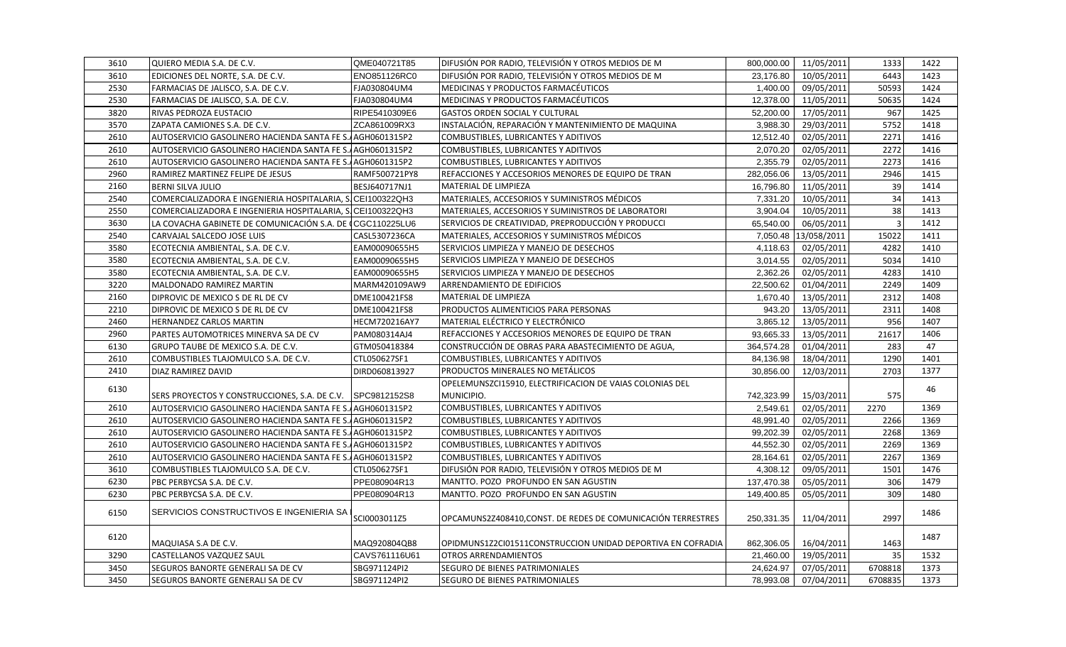| 3610 | QUIERO MEDIA S.A. DE C.V.                                   | QME040721T85  | DIFUSIÓN POR RADIO, TELEVISIÓN Y OTROS MEDIOS DE M          | 800,000.00 | 11/05/2011           | 1333           | 1422 |
|------|-------------------------------------------------------------|---------------|-------------------------------------------------------------|------------|----------------------|----------------|------|
| 3610 | EDICIONES DEL NORTE, S.A. DE C.V.                           | ENO851126RC0  | DIFUSIÓN POR RADIO, TELEVISIÓN Y OTROS MEDIOS DE M          | 23,176.80  | 10/05/2011           | 6443           | 1423 |
| 2530 | FARMACIAS DE JALISCO, S.A. DE C.V.                          | FJA030804UM4  | MEDICINAS Y PRODUCTOS FARMACÉUTICOS                         | 1,400.00   | 09/05/2011           | 50593          | 1424 |
| 2530 | FARMACIAS DE JALISCO, S.A. DE C.V.                          | FJA030804UM4  | MEDICINAS Y PRODUCTOS FARMACÉUTICOS                         | 12,378.00  | 11/05/2011           | 50635          | 1424 |
| 3820 | RIVAS PEDROZA EUSTACIO                                      | RIPE5410309E6 | <b>GASTOS ORDEN SOCIAL Y CULTURAL</b>                       | 52,200.00  | 17/05/2011           | 967            | 1425 |
| 3570 | ZAPATA CAMIONES S.A. DE C.V.                                | ZCA861009RX3  | INSTALACIÓN, REPARACIÓN Y MANTENIMIENTO DE MAQUINA          | 3,988.30   | 29/03/2011           | 5752           | 1418 |
| 2610 | AUTOSERVICIO GASOLINERO HACIENDA SANTA FE S. AGH0601315P2   |               | COMBUSTIBLES, LUBRICANTES Y ADITIVOS                        | 12,512.40  | 02/05/2011           | 2271           | 1416 |
| 2610 | AUTOSERVICIO GASOLINERO HACIENDA SANTA FE S. AGH0601315P2   |               | COMBUSTIBLES, LUBRICANTES Y ADITIVOS                        | 2,070.20   | 02/05/2011           | 2272           | 1416 |
| 2610 | AUTOSERVICIO GASOLINERO HACIENDA SANTA FE S. AGH0601315P2   |               | COMBUSTIBLES, LUBRICANTES Y ADITIVOS                        | 2,355.79   | 02/05/2011           | 2273           | 1416 |
| 2960 | RAMIREZ MARTINEZ FELIPE DE JESUS                            | RAMF500721PY8 | REFACCIONES Y ACCESORIOS MENORES DE EQUIPO DE TRAN          | 282,056.06 | 13/05/2011           | 2946           | 1415 |
| 2160 | <b>BERNI SILVA JULIO</b>                                    | BESJ640717NJ1 | <b>MATERIAL DE LIMPIEZA</b>                                 | 16,796.80  | 11/05/2011           | 39             | 1414 |
| 2540 | COMERCIALIZADORA E INGENIERIA HOSPITALARIA, S. CEI100322QH3 |               | MATERIALES, ACCESORIOS Y SUMINISTROS MÉDICOS                | 7,331.20   | 10/05/2011           | 34             | 1413 |
| 2550 | COMERCIALIZADORA E INGENIERIA HOSPITALARIA, S. CEI100322QH3 |               | MATERIALES, ACCESORIOS Y SUMINISTROS DE LABORATORI          | 3,904.04   | 10/05/2011           | 38             | 1413 |
| 3630 | LA COVACHA GABINETE DE COMUNICACIÓN S.A. DE CGC110225LU6    |               | SERVICIOS DE CREATIVIDAD, PREPRODUCCIÓN Y PRODUCCI          | 65,540.00  | 06/05/2011           | $\overline{3}$ | 1412 |
| 2540 | CARVAJAL SALCEDO JOSE LUIS                                  | CASL5307236CA | MATERIALES, ACCESORIOS Y SUMINISTROS MÉDICOS                |            | 7,050.48 13/058/2011 | 15022          | 1411 |
| 3580 | ECOTECNIA AMBIENTAL, S.A. DE C.V.                           | EAM00090655H5 | SERVICIOS LIMPIEZA Y MANEJO DE DESECHOS                     | 4,118.63   | 02/05/2011           | 4282           | 1410 |
| 3580 | ECOTECNIA AMBIENTAL, S.A. DE C.V.                           | EAM00090655H5 | SERVICIOS LIMPIEZA Y MANEJO DE DESECHOS                     | 3,014.55   | 02/05/2011           | 5034           | 1410 |
| 3580 | ECOTECNIA AMBIENTAL, S.A. DE C.V.                           | EAM00090655H5 | SERVICIOS LIMPIEZA Y MANEJO DE DESECHOS                     | 2,362.26   | 02/05/2011           | 4283           | 1410 |
| 3220 | MALDONADO RAMIREZ MARTIN                                    | MARM420109AW9 | ARRENDAMIENTO DE EDIFICIOS                                  | 22,500.62  | 01/04/2011           | 2249           | 1409 |
| 2160 | DIPROVIC DE MEXICO S DE RL DE CV                            | DME100421FS8  | MATERIAL DE LIMPIEZA                                        | 1,670.40   | 13/05/2011           | 2312           | 1408 |
| 2210 | DIPROVIC DE MEXICO S DE RL DE CV                            | DME100421FS8  | PRODUCTOS ALIMENTICIOS PARA PERSONAS                        | 943.20     | 13/05/2011           | 2311           | 1408 |
| 2460 | HERNANDEZ CARLOS MARTIN                                     | HECM720216AY7 | MATERIAL ELÉCTRICO Y ELECTRÓNICO                            | 3,865.12   | 13/05/2011           | 956            | 1407 |
| 2960 | PARTES AUTOMOTRICES MINERVA SA DE CV                        | PAM080314AJ4  | REFACCIONES Y ACCESORIOS MENORES DE EQUIPO DE TRAN          | 93,665.33  | 13/05/2011           | 21617          | 1406 |
| 6130 | GRUPO TAUBE DE MEXICO S.A. DE C.V.                          | GTM050418384  | CONSTRUCCIÓN DE OBRAS PARA ABASTECIMIENTO DE AGUA,          | 364,574.28 | 01/04/2011           | 283            | 47   |
| 2610 | COMBUSTIBLES TLAJOMULCO S.A. DE C.V.                        | CTL050627SF1  | COMBUSTIBLES, LUBRICANTES Y ADITIVOS                        | 84,136.98  | 18/04/2011           | 1290           | 1401 |
| 2410 | DIAZ RAMIREZ DAVID                                          | DIRD060813927 | PRODUCTOS MINERALES NO METÁLICOS                            | 30,856.00  | 12/03/2011           | 2703           | 1377 |
|      |                                                             |               | OPELEMUNSZCI15910, ELECTRIFICACION DE VAIAS COLONIAS DEL    |            |                      |                |      |
| 6130 | SERS PROYECTOS Y CONSTRUCCIONES, S.A. DE C.V. SPC9812152S8  |               | MUNICIPIO.                                                  | 742,323.99 | 15/03/2011           | 575            | 46   |
| 2610 | AUTOSERVICIO GASOLINERO HACIENDA SANTA FE S. AGH0601315P2   |               | COMBUSTIBLES, LUBRICANTES Y ADITIVOS                        | 2,549.61   | 02/05/2011           | 2270           | 1369 |
| 2610 | AUTOSERVICIO GASOLINERO HACIENDA SANTA FE S. AGH0601315P2   |               | COMBUSTIBLES, LUBRICANTES Y ADITIVOS                        | 48,991.40  | 02/05/2011           | 2266           | 1369 |
| 2610 | AUTOSERVICIO GASOLINERO HACIENDA SANTA FE S. AGH0601315P2   |               | COMBUSTIBLES, LUBRICANTES Y ADITIVOS                        | 99,202.39  | 02/05/2011           | 2268           | 1369 |
| 2610 | AUTOSERVICIO GASOLINERO HACIENDA SANTA FE S. AGH0601315P2   |               | COMBUSTIBLES, LUBRICANTES Y ADITIVOS                        | 44,552.30  | 02/05/2011           | 2269           | 1369 |
| 2610 | AUTOSERVICIO GASOLINERO HACIENDA SANTA FE S.AGH0601315P2    |               | COMBUSTIBLES, LUBRICANTES Y ADITIVOS                        | 28,164.61  | 02/05/2011           | 2267           | 1369 |
| 3610 | COMBUSTIBLES TLAJOMULCO S.A. DE C.V.                        | CTL050627SF1  | DIFUSIÓN POR RADIO, TELEVISIÓN Y OTROS MEDIOS DE M          | 4,308.12   | 09/05/2011           | 1501           | 1476 |
| 6230 | PBC PERBYCSA S.A. DE C.V.                                   | PPE080904R13  | MANTTO. POZO PROFUNDO EN SAN AGUSTIN                        | 137,470.38 | 05/05/2011           | 306            | 1479 |
| 6230 | PBC PERBYCSA S.A. DE C.V.                                   | PPE080904R13  | MANTTO. POZO PROFUNDO EN SAN AGUSTIN                        | 149,400.85 | 05/05/2011           | 309            | 1480 |
| 6150 | SERVICIOS CONSTRUCTIVOS E INGENIERIA SA I                   | SCI0003011Z5  | OPCAMUNS2Z408410,CONST. DE REDES DE COMUNICACIÓN TERRESTRES | 250,331.35 | 11/04/2011           | 2997           | 1486 |
| 6120 | MAQUIASA S.A DE C.V.                                        | MAQ920804QB8  | OPIDMUNS1Z2CI01511CONSTRUCCION UNIDAD DEPORTIVA EN COFRADIA | 862,306.05 | 16/04/2011           | 1463           | 1487 |
| 3290 | CASTELLANOS VAZQUEZ SAUL                                    | CAVS761116U61 | <b>OTROS ARRENDAMIENTOS</b>                                 | 21,460.00  | 19/05/2011           | 35             | 1532 |
| 3450 | SEGUROS BANORTE GENERALI SA DE CV                           | SBG971124PI2  | SEGURO DE BIENES PATRIMONIALES                              | 24,624.97  | 07/05/2011           | 6708818        | 1373 |
| 3450 | SEGUROS BANORTE GENERALI SA DE CV                           | SBG971124PI2  | <b>SEGURO DE BIENES PATRIMONIALES</b>                       | 78.993.08  | 07/04/2011           | 6708835        | 1373 |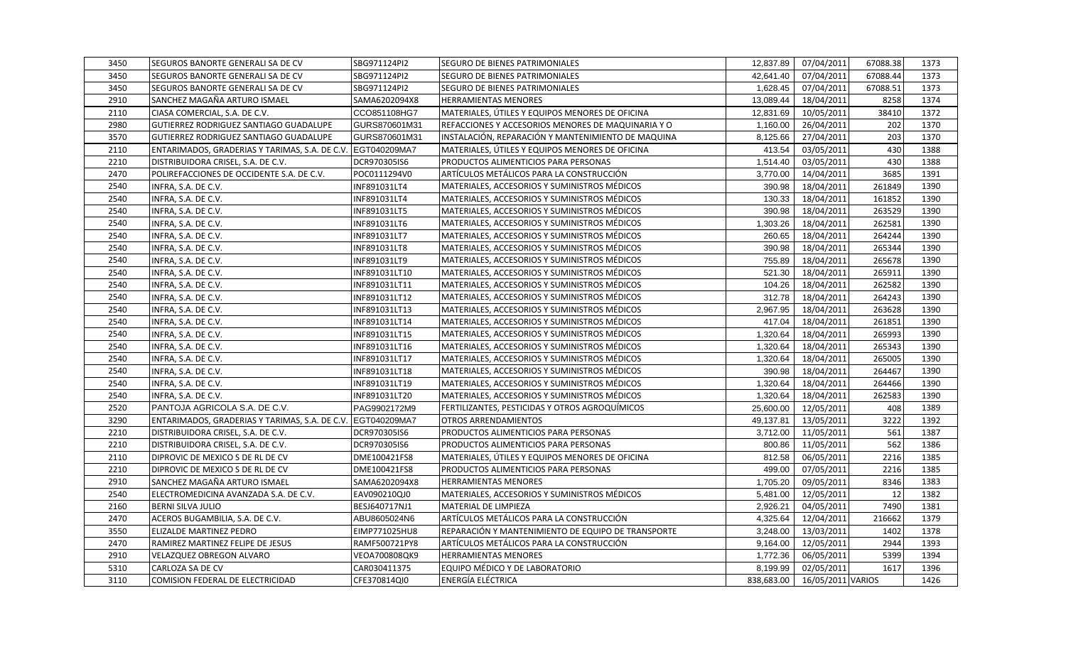| 3450 | <b>SEGUROS BANORTE GENERALI SA DE CV</b>                    | SBG971124PI2  | <b>SEGURO DE BIENES PATRIMONIALES</b>              | 12,837.89  | 07/04/2011        | 67088.38 | 1373 |
|------|-------------------------------------------------------------|---------------|----------------------------------------------------|------------|-------------------|----------|------|
| 3450 | <b>SEGUROS BANORTE GENERALI SA DE CV</b>                    | SBG971124PI2  | <b>SEGURO DE BIENES PATRIMONIALES</b>              | 42,641.40  | 07/04/2011        | 67088.44 | 1373 |
| 3450 | SEGUROS BANORTE GENERALI SA DE CV                           | SBG971124PI2  | <b>SEGURO DE BIENES PATRIMONIALES</b>              | 1,628.45   | 07/04/2011        | 67088.51 | 1373 |
| 2910 | SANCHEZ MAGAÑA ARTURO ISMAEL                                | SAMA6202094X8 | <b>HERRAMIENTAS MENORES</b>                        | 13,089.44  | 18/04/2011        | 8258     | 1374 |
| 2110 | CIASA COMERCIAL, S.A. DE C.V.                               | CCO851108HG7  | MATERIALES, ÚTILES Y EQUIPOS MENORES DE OFICINA    | 12,831.69  | 10/05/2011        | 38410    | 1372 |
| 2980 | <b>GUTIERREZ RODRIGUEZ SANTIAGO GUADALUPE</b>               | GURS870601M31 | REFACCIONES Y ACCESORIOS MENORES DE MAQUINARIA Y O | 1,160.00   | 26/04/2011        | 202      | 1370 |
| 3570 | GUTIERREZ RODRIGUEZ SANTIAGO GUADALUPE                      | GURS870601M31 | INSTALACIÓN, REPARACIÓN Y MANTENIMIENTO DE MAQUINA | 8,125.66   | 27/04/2011        | 203      | 1370 |
| 2110 | ENTARIMADOS, GRADERIAS Y TARIMAS, S.A. DE C.V. EGT040209MA7 |               | MATERIALES, ÚTILES Y EQUIPOS MENORES DE OFICINA    | 413.54     | 03/05/2011        | 430      | 1388 |
| 2210 | DISTRIBUIDORA CRISEL, S.A. DE C.V.                          | DCR970305IS6  | PRODUCTOS ALIMENTICIOS PARA PERSONAS               | 1,514.40   | 03/05/2011        | 430      | 1388 |
| 2470 | POLIREFACCIONES DE OCCIDENTE S.A. DE C.V.                   | POC0111294V0  | ARTÍCULOS METÁLICOS PARA LA CONSTRUCCIÓN           | 3,770.00   | 14/04/2011        | 3685     | 1391 |
| 2540 | INFRA, S.A. DE C.V.                                         | INF891031LT4  | MATERIALES, ACCESORIOS Y SUMINISTROS MÉDICOS       | 390.98     | 18/04/2011        | 261849   | 1390 |
| 2540 | INFRA, S.A. DE C.V.                                         | INF891031LT4  | MATERIALES, ACCESORIOS Y SUMINISTROS MÉDICOS       | 130.33     | 18/04/2011        | 161852   | 1390 |
| 2540 | INFRA, S.A. DE C.V.                                         | INF891031LT5  | MATERIALES, ACCESORIOS Y SUMINISTROS MÉDICOS       | 390.98     | 18/04/2011        | 263529   | 1390 |
| 2540 | INFRA, S.A. DE C.V.                                         | INF891031LT6  | MATERIALES, ACCESORIOS Y SUMINISTROS MÉDICOS       | 1,303.26   | 18/04/2011        | 262581   | 1390 |
| 2540 | INFRA, S.A. DE C.V.                                         | INF891031LT7  | MATERIALES, ACCESORIOS Y SUMINISTROS MÉDICOS       | 260.65     | 18/04/2011        | 264244   | 1390 |
| 2540 | INFRA, S.A. DE C.V.                                         | INF891031LT8  | MATERIALES, ACCESORIOS Y SUMINISTROS MÉDICOS       | 390.98     | 18/04/2011        | 265344   | 1390 |
| 2540 | INFRA, S.A. DE C.V.                                         | INF891031LT9  | MATERIALES, ACCESORIOS Y SUMINISTROS MÉDICOS       | 755.89     | 18/04/2011        | 265678   | 1390 |
| 2540 | INFRA, S.A. DE C.V.                                         | INF891031LT10 | MATERIALES, ACCESORIOS Y SUMINISTROS MÉDICOS       | 521.30     | 18/04/2011        | 265911   | 1390 |
| 2540 | INFRA, S.A. DE C.V.                                         | INF891031LT11 | MATERIALES, ACCESORIOS Y SUMINISTROS MÉDICOS       | 104.26     | 18/04/2011        | 262582   | 1390 |
| 2540 | INFRA, S.A. DE C.V.                                         | INF891031LT12 | MATERIALES, ACCESORIOS Y SUMINISTROS MÉDICOS       | 312.78     | 18/04/2011        | 264243   | 1390 |
| 2540 | INFRA, S.A. DE C.V.                                         | INF891031LT13 | MATERIALES, ACCESORIOS Y SUMINISTROS MÉDICOS       | 2,967.95   | 18/04/2011        | 263628   | 1390 |
| 2540 | INFRA, S.A. DE C.V.                                         | INF891031LT14 | MATERIALES, ACCESORIOS Y SUMINISTROS MÉDICOS       | 417.04     | 18/04/2011        | 261851   | 1390 |
| 2540 | INFRA, S.A. DE C.V.                                         | INF891031LT15 | MATERIALES, ACCESORIOS Y SUMINISTROS MÉDICOS       | 1,320.64   | 18/04/2011        | 265993   | 1390 |
| 2540 | INFRA, S.A. DE C.V.                                         | INF891031LT16 | MATERIALES, ACCESORIOS Y SUMINISTROS MÉDICOS       | 1,320.64   | 18/04/2011        | 265343   | 1390 |
| 2540 | INFRA, S.A. DE C.V.                                         | INF891031LT17 | MATERIALES, ACCESORIOS Y SUMINISTROS MÉDICOS       | 1,320.64   | 18/04/2011        | 265005   | 1390 |
| 2540 | INFRA, S.A. DE C.V.                                         | INF891031LT18 | MATERIALES, ACCESORIOS Y SUMINISTROS MÉDICOS       | 390.98     | 18/04/2011        | 264467   | 1390 |
| 2540 | INFRA, S.A. DE C.V.                                         | INF891031LT19 | MATERIALES, ACCESORIOS Y SUMINISTROS MÉDICOS       | 1,320.64   | 18/04/2011        | 264466   | 1390 |
| 2540 | INFRA, S.A. DE C.V.                                         | INF891031LT20 | MATERIALES, ACCESORIOS Y SUMINISTROS MÉDICOS       | 1,320.64   | 18/04/2011        | 262583   | 1390 |
| 2520 | PANTOJA AGRICOLA S.A. DE C.V.                               | PAG9902172M9  | FERTILIZANTES, PESTICIDAS Y OTROS AGROQUÍMICOS     | 25,600.00  | 12/05/2011        | 408      | 1389 |
| 3290 | ENTARIMADOS, GRADERIAS Y TARIMAS, S.A. DE C.V. EGT040209MA7 |               | <b>OTROS ARRENDAMIENTOS</b>                        | 49,137.81  | 13/05/2011        | 3222     | 1392 |
| 2210 | DISTRIBUIDORA CRISEL, S.A. DE C.V.                          | DCR970305IS6  | PRODUCTOS ALIMENTICIOS PARA PERSONAS               | 3,712.00   | 11/05/2011        | 561      | 1387 |
| 2210 | DISTRIBUIDORA CRISEL, S.A. DE C.V.                          | DCR970305IS6  | PRODUCTOS ALIMENTICIOS PARA PERSONAS               | 800.86     | 11/05/2011        | 562      | 1386 |
| 2110 | DIPROVIC DE MEXICO S DE RL DE CV                            | DME100421FS8  | MATERIALES, ÚTILES Y EQUIPOS MENORES DE OFICINA    | 812.58     | 06/05/2011        | 2216     | 1385 |
| 2210 | DIPROVIC DE MEXICO S DE RL DE CV                            | DME100421FS8  | PRODUCTOS ALIMENTICIOS PARA PERSONAS               | 499.00     | 07/05/2011        | 2216     | 1385 |
| 2910 | SANCHEZ MAGAÑA ARTURO ISMAEL                                | SAMA6202094X8 | <b>HERRAMIENTAS MENORES</b>                        | 1,705.20   | 09/05/2011        | 8346     | 1383 |
| 2540 | ELECTROMEDICINA AVANZADA S.A. DE C.V.                       | EAV090210QJ0  | MATERIALES, ACCESORIOS Y SUMINISTROS MÉDICOS       | 5,481.00   | 12/05/2011        | 12       | 1382 |
| 2160 | <b>BERNI SILVA JULIO</b>                                    | BESJ640717NJ1 | MATERIAL DE LIMPIEZA                               | 2,926.21   | 04/05/2011        | 7490     | 1381 |
| 2470 | ACEROS BUGAMBILIA, S.A. DE C.V.                             | ABU8605024N6  | ARTÍCULOS METÁLICOS PARA LA CONSTRUCCIÓN           | 4,325.64   | 12/04/2011        | 216662   | 1379 |
| 3550 | <b>ELIZALDE MARTINEZ PEDRO</b>                              | EIMP771025HU8 | REPARACIÓN Y MANTENIMIENTO DE EQUIPO DE TRANSPORTE | 3,248.00   | 13/03/2011        | 1402     | 1378 |
| 2470 | RAMIREZ MARTINEZ FELIPE DE JESUS                            | RAMF500721PY8 | ARTÍCULOS METÁLICOS PARA LA CONSTRUCCIÓN           | 9,164.00   | 12/05/2011        | 2944     | 1393 |
| 2910 | VELAZQUEZ OBREGON ALVARO                                    | VEOA700808QK9 | HERRAMIENTAS MENORES                               | 1,772.36   | 06/05/2011        | 5399     | 1394 |
| 5310 | CARLOZA SA DE CV                                            | CAR030411375  | EQUIPO MÉDICO Y DE LABORATORIO                     | 8,199.99   | 02/05/2011        | 1617     | 1396 |
| 3110 | COMISION FEDERAL DE ELECTRICIDAD                            | CFE370814QI0  | ENERGÍA ELÉCTRICA                                  | 838,683.00 | 16/05/2011 VARIOS |          | 1426 |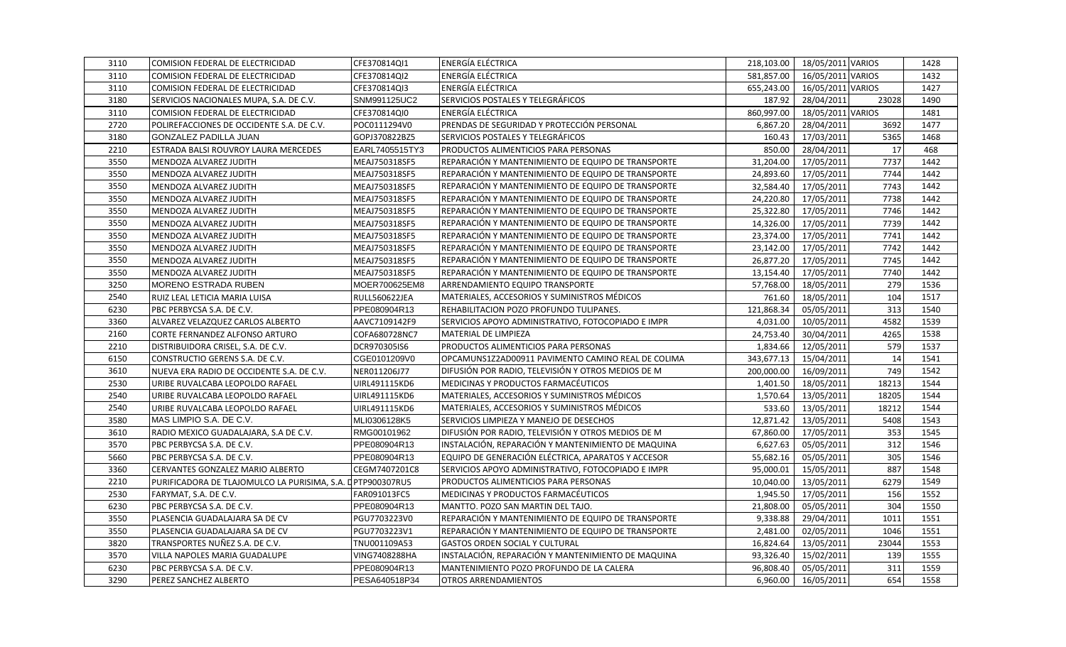| 3110 | COMISION FEDERAL DE ELECTRICIDAD                           | CFE370814QI1         | <b>ENERGÍA ELÉCTRICA</b>                           | 218,103.00 | 18/05/2011 VARIOS |       | 1428 |
|------|------------------------------------------------------------|----------------------|----------------------------------------------------|------------|-------------------|-------|------|
| 3110 | COMISION FEDERAL DE ELECTRICIDAD                           | CFE370814QI2         | ENERGÍA ELÉCTRICA                                  | 581,857.00 | 16/05/2011 VARIOS |       | 1432 |
| 3110 | COMISION FEDERAL DE ELECTRICIDAD                           | CFE370814QI3         | ENERGÍA ELÉCTRICA                                  | 655,243.00 | 16/05/2011 VARIOS |       | 1427 |
| 3180 | SERVICIOS NACIONALES MUPA, S.A. DE C.V.                    | SNM991125UC2         | SERVICIOS POSTALES Y TELEGRÁFICOS                  | 187.92     | 28/04/2011        | 23028 | 1490 |
| 3110 | COMISION FEDERAL DE ELECTRICIDAD                           | CFE370814QI0         | ENERGÍA ELÉCTRICA                                  | 860,997.00 | 18/05/2011 VARIOS |       | 1481 |
| 2720 | POLIREFACCIONES DE OCCIDENTE S.A. DE C.V.                  | POC0111294V0         | PRENDAS DE SEGURIDAD Y PROTECCIÓN PERSONAL         | 6,867.20   | 28/04/2011        | 3692  | 1477 |
| 3180 | GONZALEZ PADILLA JUAN                                      | GOPJ370822BZ5        | SERVICIOS POSTALES Y TELEGRÁFICOS                  | 160.43     | 17/03/2011        | 5365  | 1468 |
| 2210 | ESTRADA BALSI ROUVROY LAURA MERCEDES                       | EARL7405515TY3       | PRODUCTOS ALIMENTICIOS PARA PERSONAS               | 850.00     | 28/04/2011        | 17    | 468  |
| 3550 | MENDOZA ALVAREZ JUDITH                                     | MEAJ750318SF5        | REPARACIÓN Y MANTENIMIENTO DE EQUIPO DE TRANSPORTE | 31,204.00  | 17/05/2011        | 7737  | 1442 |
| 3550 | MENDOZA ALVAREZ JUDITH                                     | MEAJ750318SF5        | REPARACIÓN Y MANTENIMIENTO DE EQUIPO DE TRANSPORTE | 24,893.60  | 17/05/2011        | 7744  | 1442 |
| 3550 | MENDOZA ALVAREZ JUDITH                                     | MEAJ750318SF5        | REPARACIÓN Y MANTENIMIENTO DE EQUIPO DE TRANSPORTE | 32,584.40  | 17/05/2011        | 7743  | 1442 |
| 3550 | MENDOZA ALVAREZ JUDITH                                     | MEAJ750318SF5        | REPARACIÓN Y MANTENIMIENTO DE EQUIPO DE TRANSPORTE | 24,220.80  | 17/05/2011        | 7738  | 1442 |
| 3550 | MENDOZA ALVAREZ JUDITH                                     | MEAJ750318SF5        | REPARACIÓN Y MANTENIMIENTO DE EQUIPO DE TRANSPORTE | 25,322.80  | 17/05/2011        | 7746  | 1442 |
| 3550 | MENDOZA ALVAREZ JUDITH                                     | MEAJ750318SF5        | REPARACIÓN Y MANTENIMIENTO DE EQUIPO DE TRANSPORTE | 14,326.00  | 17/05/2011        | 7739  | 1442 |
| 3550 | MENDOZA ALVAREZ JUDITH                                     | MEAJ750318SF5        | REPARACIÓN Y MANTENIMIENTO DE EQUIPO DE TRANSPORTE | 23,374.00  | 17/05/2011        | 7741  | 1442 |
| 3550 | MENDOZA ALVAREZ JUDITH                                     | MEAJ750318SF5        | REPARACIÓN Y MANTENIMIENTO DE EQUIPO DE TRANSPORTE | 23,142.00  | 17/05/2011        | 7742  | 1442 |
| 3550 | MENDOZA ALVAREZ JUDITH                                     | MEAJ750318SF5        | REPARACIÓN Y MANTENIMIENTO DE EQUIPO DE TRANSPORTE | 26,877.20  | 17/05/2011        | 7745  | 1442 |
| 3550 | MENDOZA ALVAREZ JUDITH                                     | MEAJ750318SF5        | REPARACIÓN Y MANTENIMIENTO DE EQUIPO DE TRANSPORTE | 13,154.40  | 17/05/2011        | 7740  | 1442 |
| 3250 | <b>MORENO ESTRADA RUBEN</b>                                | MOER700625EM8        | <b>ARRENDAMIENTO EQUIPO TRANSPORTE</b>             | 57,768.00  | 18/05/2011        | 279   | 1536 |
| 2540 | RUIZ LEAL LETICIA MARIA LUISA                              | <b>RULL560622JEA</b> | MATERIALES, ACCESORIOS Y SUMINISTROS MÉDICOS       | 761.60     | 18/05/2011        | 104   | 1517 |
| 6230 | PBC PERBYCSA S.A. DE C.V.                                  | PPE080904R13         | REHABILITACION POZO PROFUNDO TULIPANES.            | 121,868.34 | 05/05/2011        | 313   | 1540 |
| 3360 | ALVAREZ VELAZQUEZ CARLOS ALBERTO                           | AAVC7109142F9        | SERVICIOS APOYO ADMINISTRATIVO, FOTOCOPIADO E IMPR | 4,031.00   | 10/05/2011        | 4582  | 1539 |
| 2160 | CORTE FERNANDEZ ALFONSO ARTURO                             | COFA680728NC7        | MATERIAL DE LIMPIEZA                               | 24,753.40  | 30/04/2011        | 4265  | 1538 |
| 2210 | DISTRIBUIDORA CRISEL, S.A. DE C.V.                         | DCR970305IS6         | PRODUCTOS ALIMENTICIOS PARA PERSONAS               | 1,834.66   | 12/05/2011        | 579   | 1537 |
| 6150 | CONSTRUCTIO GERENS S.A. DE C.V.                            | CGE0101209V0         | OPCAMUNS1Z2AD00911 PAVIMENTO CAMINO REAL DE COLIMA | 343,677.13 | 15/04/2011        | 14    | 1541 |
| 3610 | NUEVA ERA RADIO DE OCCIDENTE S.A. DE C.V.                  | NER011206J77         | DIFUSIÓN POR RADIO, TELEVISIÓN Y OTROS MEDIOS DE M | 200,000.00 | 16/09/2011        | 749   | 1542 |
| 2530 | URIBE RUVALCABA LEOPOLDO RAFAEL                            | UIRL491115KD6        | MEDICINAS Y PRODUCTOS FARMACÉUTICOS                | 1,401.50   | 18/05/2011        | 18213 | 1544 |
| 2540 | URIBE RUVALCABA LEOPOLDO RAFAEL                            | UIRL491115KD6        | MATERIALES, ACCESORIOS Y SUMINISTROS MÉDICOS       | 1,570.64   | 13/05/2011        | 18205 | 1544 |
| 2540 | URIBE RUVALCABA LEOPOLDO RAFAEL                            | UIRL491115KD6        | MATERIALES, ACCESORIOS Y SUMINISTROS MÉDICOS       | 533.60     | 13/05/2011        | 18212 | 1544 |
| 3580 | MAS LIMPIO S.A. DE C.V.                                    | MLI0306128K5         | SERVICIOS LIMPIEZA Y MANEJO DE DESECHOS            | 12,871.42  | 13/05/2011        | 5408  | 1543 |
| 3610 | RADIO MEXICO GUADALAJARA, S.A DE C.V.                      | RMG00101962          | DIFUSIÓN POR RADIO, TELEVISIÓN Y OTROS MEDIOS DE M | 67,860.00  | 17/05/2011        | 353   | 1545 |
| 3570 | PBC PERBYCSA S.A. DE C.V.                                  | PPE080904R13         | INSTALACIÓN, REPARACIÓN Y MANTENIMIENTO DE MAQUINA | 6,627.63   | 05/05/2011        | 312   | 1546 |
| 5660 | PBC PERBYCSA S.A. DE C.V.                                  | PPE080904R13         | EQUIPO DE GENERACIÓN ELÉCTRICA, APARATOS Y ACCESOR | 55,682.16  | 05/05/2011        | 305   | 1546 |
| 3360 | CERVANTES GONZALEZ MARIO ALBERTO                           | CEGM7407201C8        | SERVICIOS APOYO ADMINISTRATIVO, FOTOCOPIADO E IMPR | 95,000.01  | 15/05/2011        | 887   | 1548 |
| 2210 | PURIFICADORA DE TLAJOMULCO LA PURISIMA, S.A. DPTP900307RU5 |                      | PRODUCTOS ALIMENTICIOS PARA PERSONAS               | 10,040.00  | 13/05/2011        | 6279  | 1549 |
| 2530 | FARYMAT, S.A. DE C.V.                                      | FAR091013FC5         | MEDICINAS Y PRODUCTOS FARMACÉUTICOS                | 1,945.50   | 17/05/2011        | 156   | 1552 |
| 6230 | PBC PERBYCSA S.A. DE C.V.                                  | PPE080904R13         | MANTTO. POZO SAN MARTIN DEL TAJO.                  | 21,808.00  | 05/05/2011        | 304   | 1550 |
| 3550 | PLASENCIA GUADALAJARA SA DE CV                             | PGU7703223V0         | REPARACIÓN Y MANTENIMIENTO DE EQUIPO DE TRANSPORTE | 9,338.88   | 29/04/2011        | 1011  | 1551 |
| 3550 | PLASENCIA GUADALAJARA SA DE CV                             | PGU7703223V1         | REPARACIÓN Y MANTENIMIENTO DE EQUIPO DE TRANSPORTE | 2,481.00   | 02/05/2011        | 1046  | 1551 |
| 3820 | TRANSPORTES NUÑEZ S.A. DE C.V.                             | TNU001109A53         | <b>GASTOS ORDEN SOCIAL Y CULTURAL</b>              | 16,824.64  | 13/05/2011        | 23044 | 1553 |
| 3570 | VILLA NAPOLES MARIA GUADALUPE                              | VING7408288HA        | INSTALACIÓN, REPARACIÓN Y MANTENIMIENTO DE MAQUINA | 93,326.40  | 15/02/2011        | 139   | 1555 |
| 6230 | PBC PERBYCSA S.A. DE C.V.                                  | PPE080904R13         | MANTENIMIENTO POZO PROFUNDO DE LA CALERA           | 96,808.40  | 05/05/2011        | 311   | 1559 |
| 3290 | PEREZ SANCHEZ ALBERTO                                      | PESA640518P34        | <b>OTROS ARRENDAMIENTOS</b>                        | 6,960.00   | 16/05/2011        | 654   | 1558 |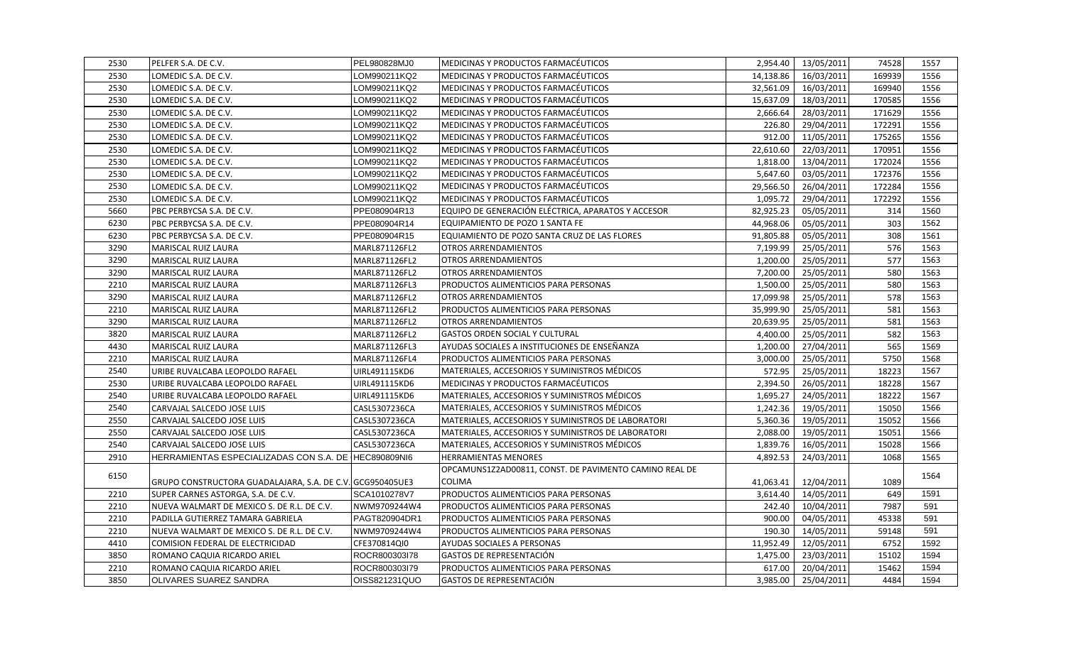| 2530 | PELFER S.A. DE C.V.                                       | PEL980828MJ0  | <b>MEDICINAS Y PRODUCTOS FARMACÉUTICOS</b>             |           | 2,954.40   13/05/2011 | 74528  | 1557 |
|------|-----------------------------------------------------------|---------------|--------------------------------------------------------|-----------|-----------------------|--------|------|
| 2530 | LOMEDIC S.A. DE C.V.                                      | LOM990211KQ2  | MEDICINAS Y PRODUCTOS FARMACÉUTICOS                    | 14,138.86 | 16/03/2011            | 169939 | 1556 |
| 2530 | LOMEDIC S.A. DE C.V.                                      | _OM990211KQ2  | MEDICINAS Y PRODUCTOS FARMACÉUTICOS                    | 32,561.09 | 16/03/2011            | 169940 | 1556 |
| 2530 | LOMEDIC S.A. DE C.V.                                      | OM990211KQ2   | MEDICINAS Y PRODUCTOS FARMACÉUTICOS                    | 15,637.09 | 18/03/2011            | 170585 | 1556 |
| 2530 | LOMEDIC S.A. DE C.V.                                      | _OM990211KQ2  | MEDICINAS Y PRODUCTOS FARMACÉUTICOS                    | 2,666.64  | 28/03/2011            | 171629 | 1556 |
| 2530 | LOMEDIC S.A. DE C.V.                                      | OM990211KQ2   | MEDICINAS Y PRODUCTOS FARMACÉUTICOS                    | 226.80    | 29/04/2011            | 172291 | 1556 |
| 2530 | LOMEDIC S.A. DE C.V.                                      | OM990211KQ2_  | MEDICINAS Y PRODUCTOS FARMACÉUTICOS                    | 912.00    | 11/05/2011            | 175265 | 1556 |
| 2530 | LOMEDIC S.A. DE C.V.                                      | _OM990211KQ2  | MEDICINAS Y PRODUCTOS FARMACÉUTICOS                    | 22,610.60 | 22/03/2011            | 170951 | 1556 |
| 2530 | LOMEDIC S.A. DE C.V.                                      | _OM990211KQ2  | MEDICINAS Y PRODUCTOS FARMACÉUTICOS                    | 1,818.00  | 13/04/2011            | 172024 | 1556 |
| 2530 | LOMEDIC S.A. DE C.V.                                      | OM990211KQ2   | MEDICINAS Y PRODUCTOS FARMACÉUTICOS                    | 5,647.60  | 03/05/2011            | 172376 | 1556 |
| 2530 | LOMEDIC S.A. DE C.V.                                      | _OM990211KQ2  | MEDICINAS Y PRODUCTOS FARMACÉUTICOS                    | 29,566.50 | 26/04/2011            | 172284 | 1556 |
| 2530 | LOMEDIC S.A. DE C.V.                                      | LOM990211KQ2  | MEDICINAS Y PRODUCTOS FARMACÉUTICOS                    | 1,095.72  | 29/04/2011            | 172292 | 1556 |
| 5660 | PBC PERBYCSA S.A. DE C.V.                                 | PPE080904R13  | EQUIPO DE GENERACIÓN ELÉCTRICA, APARATOS Y ACCESOR     | 82,925.23 | 05/05/2011            | 314    | 1560 |
| 6230 | PBC PERBYCSA S.A. DE C.V.                                 | PPE080904R14  | EQUIPAMIENTO DE POZO 1 SANTA FE                        | 44,968.06 | 05/05/2011            | 303    | 1562 |
| 6230 | PBC PERBYCSA S.A. DE C.V.                                 | PPE080904R15  | EQUIAMIENTO DE POZO SANTA CRUZ DE LAS FLORES           | 91,805.88 | 05/05/2011            | 308    | 1561 |
| 3290 | MARISCAL RUIZ LAURA                                       | MARL871126FL2 | <b>OTROS ARRENDAMIENTOS</b>                            | 7,199.99  | 25/05/2011            | 576    | 1563 |
| 3290 | MARISCAL RUIZ LAURA                                       | MARL871126FL2 | <b>OTROS ARRENDAMIENTOS</b>                            | 1,200.00  | 25/05/2011            | 577    | 1563 |
| 3290 | MARISCAL RUIZ LAURA                                       | MARL871126FL2 | <b>OTROS ARRENDAMIENTOS</b>                            | 7,200.00  | 25/05/2011            | 580    | 1563 |
| 2210 | MARISCAL RUIZ LAURA                                       | MARL871126FL3 | PRODUCTOS ALIMENTICIOS PARA PERSONAS                   | 1,500.00  | 25/05/2011            | 580    | 1563 |
| 3290 | MARISCAL RUIZ LAURA                                       | MARL871126FL2 | <b>OTROS ARRENDAMIENTOS</b>                            | 17,099.98 | 25/05/2011            | 578    | 1563 |
| 2210 | MARISCAL RUIZ LAURA                                       | MARL871126FL2 | PRODUCTOS ALIMENTICIOS PARA PERSONAS                   | 35.999.90 | 25/05/2011            | 581    | 1563 |
| 3290 | MARISCAL RUIZ LAURA                                       | MARL871126FL2 | <b>OTROS ARRENDAMIENTOS</b>                            | 20,639.95 | 25/05/2011            | 581    | 1563 |
| 3820 | MARISCAL RUIZ LAURA                                       | MARL871126FL2 | <b>GASTOS ORDEN SOCIAL Y CULTURAL</b>                  | 4,400.00  | 25/05/2011            | 582    | 1563 |
| 4430 | MARISCAL RUIZ LAURA                                       | MARL871126FL3 | AYUDAS SOCIALES A INSTITUCIONES DE ENSEÑANZA           | 1,200.00  | 27/04/2011            | 565    | 1569 |
| 2210 | MARISCAL RUIZ LAURA                                       | MARL871126FL4 | PRODUCTOS ALIMENTICIOS PARA PERSONAS                   | 3,000.00  | 25/05/2011            | 5750   | 1568 |
| 2540 | URIBE RUVALCABA LEOPOLDO RAFAEL                           | UIRL491115KD6 | MATERIALES, ACCESORIOS Y SUMINISTROS MÉDICOS           | 572.95    | 25/05/2011            | 18223  | 1567 |
| 2530 | URIBE RUVALCABA LEOPOLDO RAFAEL                           | UIRL491115KD6 | MEDICINAS Y PRODUCTOS FARMACÉUTICOS                    | 2,394.50  | 26/05/2011            | 18228  | 1567 |
| 2540 | URIBE RUVALCABA LEOPOLDO RAFAEL                           | UIRL491115KD6 | MATERIALES, ACCESORIOS Y SUMINISTROS MÉDICOS           | 1,695.27  | 24/05/2011            | 18222  | 1567 |
| 2540 | CARVAJAL SALCEDO JOSE LUIS                                | CASL5307236CA | MATERIALES, ACCESORIOS Y SUMINISTROS MÉDICOS           | 1,242.36  | 19/05/2011            | 15050  | 1566 |
| 2550 | CARVAJAL SALCEDO JOSE LUIS                                | CASL5307236CA | MATERIALES, ACCESORIOS Y SUMINISTROS DE LABORATORI     | 5,360.36  | 19/05/2011            | 15052  | 1566 |
| 2550 | CARVAJAL SALCEDO JOSE LUIS                                | CASL5307236CA | MATERIALES, ACCESORIOS Y SUMINISTROS DE LABORATORI     | 2,088.00  | 19/05/2011            | 15051  | 1566 |
| 2540 | CARVAJAL SALCEDO JOSE LUIS                                | CASL5307236CA | MATERIALES, ACCESORIOS Y SUMINISTROS MÉDICOS           | 1,839.76  | 16/05/2011            | 15028  | 1566 |
| 2910 | HERRAMIENTAS ESPECIALIZADAS CON S.A. DE HEC890809NI6      |               | <b>HERRAMIENTAS MENORES</b>                            | 4,892.53  | 24/03/2011            | 1068   | 1565 |
| 6150 |                                                           |               | OPCAMUNS1Z2AD00811, CONST. DE PAVIMENTO CAMINO REAL DE |           |                       |        | 1564 |
|      | GRUPO CONSTRUCTORA GUADALAJARA, S.A. DE C.V. GCG950405UE3 |               | COLIMA                                                 | 41,063.41 | 12/04/2011            | 1089   |      |
| 2210 | SUPER CARNES ASTORGA, S.A. DE C.V.                        | SCA1010278V7  | PRODUCTOS ALIMENTICIOS PARA PERSONAS                   | 3,614.40  | 14/05/2011            | 649    | 1591 |
| 2210 | NUEVA WALMART DE MEXICO S. DE R.L. DE C.V.                | NWM9709244W4  | PRODUCTOS ALIMENTICIOS PARA PERSONAS                   | 242.40    | 10/04/2011            | 7987   | 591  |
| 2210 | PADILLA GUTIERREZ TAMARA GABRIELA                         | PAGT820904DR1 | PRODUCTOS ALIMENTICIOS PARA PERSONAS                   | 900.00    | 04/05/2011            | 45338  | 591  |
| 2210 | NUEVA WALMART DE MEXICO S. DE R.L. DE C.V.                | NWM9709244W4  | PRODUCTOS ALIMENTICIOS PARA PERSONAS                   | 190.30    | 14/05/2011            | 59148  | 591  |
| 4410 | COMISION FEDERAL DE ELECTRICIDAD                          | CFE370814QI0  | AYUDAS SOCIALES A PERSONAS                             | 11,952.49 | 12/05/2011            | 6752   | 1592 |
| 3850 | ROMANO CAQUIA RICARDO ARIEL                               | ROCR800303l78 | <b>GASTOS DE REPRESENTACIÓN</b>                        | 1,475.00  | 23/03/2011            | 15102  | 1594 |
| 2210 | ROMANO CAQUIA RICARDO ARIEL                               | ROCR800303I79 | PRODUCTOS ALIMENTICIOS PARA PERSONAS                   | 617.00    | 20/04/2011            | 15462  | 1594 |
| 3850 | <b>OLIVARES SUAREZ SANDRA</b>                             | OISS821231QUO | GASTOS DE REPRESENTACIÓN                               | 3.985.00  | 25/04/2011            | 4484   | 1594 |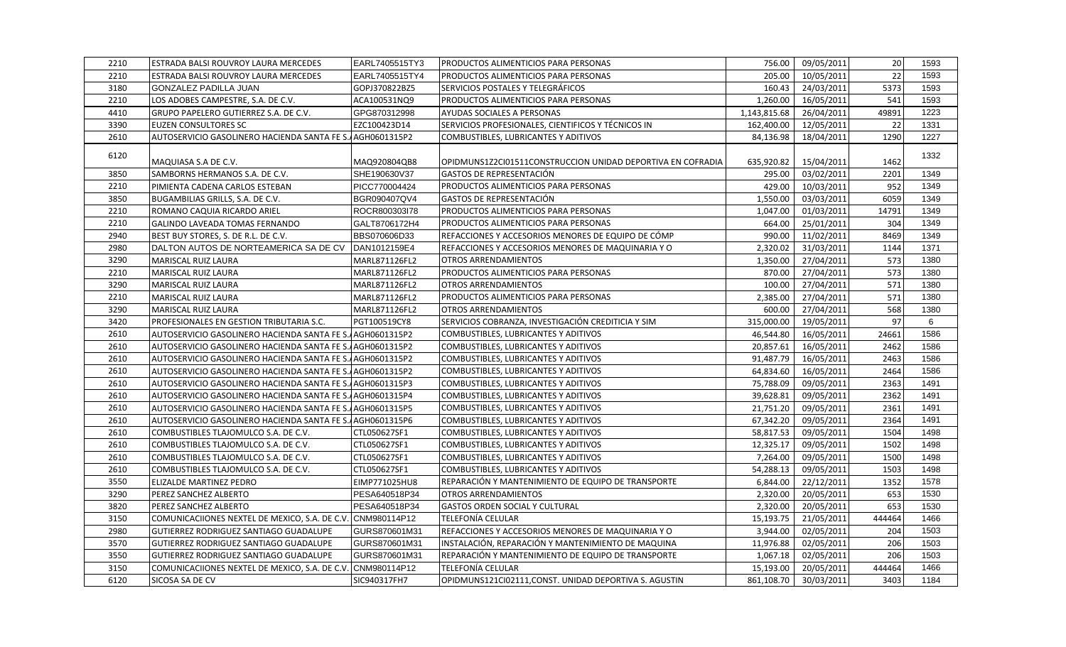| 2210 | <b>ESTRADA BALSI ROUVROY LAURA MERCEDES</b>                 | EARL7405515TY3 | <b>PRODUCTOS ALIMENTICIOS PARA PERSONAS</b>                 | 756.00       | 09/05/2011 | 20     | 1593 |
|------|-------------------------------------------------------------|----------------|-------------------------------------------------------------|--------------|------------|--------|------|
| 2210 | <b>ESTRADA BALSI ROUVROY LAURA MERCEDES</b>                 | EARL7405515TY4 | PRODUCTOS ALIMENTICIOS PARA PERSONAS                        | 205.00       | 10/05/2011 | 22     | 1593 |
| 3180 | <b>GONZALEZ PADILLA JUAN</b>                                | GOPJ370822BZ5  | SERVICIOS POSTALES Y TELEGRÁFICOS                           | 160.43       | 24/03/2011 | 5373   | 1593 |
| 2210 | LOS ADOBES CAMPESTRE, S.A. DE C.V.                          | ACA100531NQ9   | PRODUCTOS ALIMENTICIOS PARA PERSONAS                        | 1,260.00     | 16/05/2011 | 541    | 1593 |
| 4410 | GRUPO PAPELERO GUTIERREZ S.A. DE C.V.                       | GPG870312998   | <b>AYUDAS SOCIALES A PERSONAS</b>                           | 1,143,815.68 | 26/04/2011 | 49891  | 1223 |
| 3390 | EUZEN CONSULTORES SC                                        | EZC100423D14   | SERVICIOS PROFESIONALES, CIENTIFICOS Y TÉCNICOS IN          | 162,400.00   | 12/05/2011 | 22     | 1331 |
| 2610 | AUTOSERVICIO GASOLINERO HACIENDA SANTA FE S. AGH0601315P2   |                | COMBUSTIBLES, LUBRICANTES Y ADITIVOS                        | 84,136.98    | 18/04/2011 | 1290   | 1227 |
| 6120 |                                                             |                |                                                             |              |            |        | 1332 |
|      | MAQUIASA S.A DE C.V.                                        | MAQ920804QB8   | OPIDMUNS1Z2CI01511CONSTRUCCION UNIDAD DEPORTIVA EN COFRADIA | 635,920.82   | 15/04/2011 | 1462   |      |
| 3850 | SAMBORNS HERMANOS S.A. DE C.V.                              | SHE190630V37   | GASTOS DE REPRESENTACIÓN                                    | 295.00       | 03/02/2011 | 2201   | 1349 |
| 2210 | PIMIENTA CADENA CARLOS ESTEBAN                              | PICC770004424  | PRODUCTOS ALIMENTICIOS PARA PERSONAS                        | 429.00       | 10/03/2011 | 952    | 1349 |
| 3850 | BUGAMBILIAS GRILLS, S.A. DE C.V.                            | BGR090407QV4   | GASTOS DE REPRESENTACIÓN                                    | 1,550.00     | 03/03/2011 | 6059   | 1349 |
| 2210 | ROMANO CAQUIA RICARDO ARIEL                                 | ROCR800303l78  | PRODUCTOS ALIMENTICIOS PARA PERSONAS                        | 1,047.00     | 01/03/2011 | 14791  | 1349 |
| 2210 | GALINDO LAVEADA TOMAS FERNANDO                              | GALT8706172H4  | PRODUCTOS ALIMENTICIOS PARA PERSONAS                        | 664.00       | 25/01/2011 | 304    | 1349 |
| 2940 | BEST BUY STORES, S. DE R.L. DE C.V.                         | BBS070606D33   | REFACCIONES Y ACCESORIOS MENORES DE EQUIPO DE CÓMP          | 990.00       | 11/02/2011 | 8469   | 1349 |
| 2980 | DALTON AUTOS DE NORTEAMERICA SA DE CV DAN1012159E4          |                | REFACCIONES Y ACCESORIOS MENORES DE MAQUINARIA Y O          | 2,320.02     | 31/03/2011 | 1144   | 1371 |
| 3290 | MARISCAL RUIZ LAURA                                         | MARL871126FL2  | OTROS ARRENDAMIENTOS                                        | 1,350.00     | 27/04/2011 | 573    | 1380 |
| 2210 | MARISCAL RUIZ LAURA                                         | MARL871126FL2  | PRODUCTOS ALIMENTICIOS PARA PERSONAS                        | 870.00       | 27/04/2011 | 573    | 1380 |
| 3290 | MARISCAL RUIZ LAURA                                         | MARL871126FL2  | <b>OTROS ARRENDAMIENTOS</b>                                 | 100.00       | 27/04/2011 | 571    | 1380 |
| 2210 | MARISCAL RUIZ LAURA                                         | MARL871126FL2  | PRODUCTOS ALIMENTICIOS PARA PERSONAS                        | 2,385.00     | 27/04/2011 | 571    | 1380 |
| 3290 | MARISCAL RUIZ LAURA                                         | MARL871126FL2  | <b>OTROS ARRENDAMIENTOS</b>                                 | 600.00       | 27/04/2011 | 568    | 1380 |
| 3420 | PROFESIONALES EN GESTION TRIBUTARIA S.C.                    | PGT100519CY8   | SERVICIOS COBRANZA, INVESTIGACIÓN CREDITICIA Y SIM          | 315,000.00   | 19/05/2011 | 97     | 6    |
| 2610 | AUTOSERVICIO GASOLINERO HACIENDA SANTA FE S. AGH0601315P2   |                | COMBUSTIBLES, LUBRICANTES Y ADITIVOS                        | 46,544.80    | 16/05/2011 | 24661  | 1586 |
| 2610 | AUTOSERVICIO GASOLINERO HACIENDA SANTA FE S. AGH0601315P2   |                | COMBUSTIBLES, LUBRICANTES Y ADITIVOS                        | 20,857.61    | 16/05/2011 | 2462   | 1586 |
| 2610 | AUTOSERVICIO GASOLINERO HACIENDA SANTA FE S. AGH0601315P2   |                | COMBUSTIBLES, LUBRICANTES Y ADITIVOS                        | 91,487.79    | 16/05/2011 | 2463   | 1586 |
| 2610 | AUTOSERVICIO GASOLINERO HACIENDA SANTA FE S. AGH0601315P2   |                | COMBUSTIBLES, LUBRICANTES Y ADITIVOS                        | 64,834.60    | 16/05/2011 | 2464   | 1586 |
| 2610 | AUTOSERVICIO GASOLINERO HACIENDA SANTA FE S. AGH0601315P3   |                | COMBUSTIBLES, LUBRICANTES Y ADITIVOS                        | 75,788.09    | 09/05/2011 | 2363   | 1491 |
| 2610 | AUTOSERVICIO GASOLINERO HACIENDA SANTA FE S. AGH0601315P4   |                | COMBUSTIBLES, LUBRICANTES Y ADITIVOS                        | 39,628.81    | 09/05/2011 | 2362   | 1491 |
| 2610 | AUTOSERVICIO GASOLINERO HACIENDA SANTA FE S. AGH0601315P5   |                | COMBUSTIBLES, LUBRICANTES Y ADITIVOS                        | 21,751.20    | 09/05/2011 | 2361   | 1491 |
| 2610 | AUTOSERVICIO GASOLINERO HACIENDA SANTA FE S. AGH0601315P6   |                | COMBUSTIBLES, LUBRICANTES Y ADITIVOS                        | 67,342.20    | 09/05/2011 | 2364   | 1491 |
| 2610 | COMBUSTIBLES TLAJOMULCO S.A. DE C.V.                        | CTL050627SF1   | COMBUSTIBLES, LUBRICANTES Y ADITIVOS                        | 58,817.53    | 09/05/2011 | 1504   | 1498 |
| 2610 | COMBUSTIBLES TLAJOMULCO S.A. DE C.V.                        | CTL050627SF1   | COMBUSTIBLES, LUBRICANTES Y ADITIVOS                        | 12,325.17    | 09/05/2011 | 1502   | 1498 |
| 2610 | COMBUSTIBLES TLAJOMULCO S.A. DE C.V.                        | CTL050627SF1   | COMBUSTIBLES, LUBRICANTES Y ADITIVOS                        | 7,264.00     | 09/05/2011 | 1500   | 1498 |
| 2610 | COMBUSTIBLES TLAJOMULCO S.A. DE C.V.                        | CTL050627SF1   | COMBUSTIBLES, LUBRICANTES Y ADITIVOS                        | 54,288.13    | 09/05/2011 | 1503   | 1498 |
| 3550 | <b>ELIZALDE MARTINEZ PEDRO</b>                              | EIMP771025HU8  | REPARACIÓN Y MANTENIMIENTO DE EQUIPO DE TRANSPORTE          | 6,844.00     | 22/12/2011 | 1352   | 1578 |
| 3290 | PEREZ SANCHEZ ALBERTO                                       | PESA640518P34  | OTROS ARRENDAMIENTOS                                        | 2,320.00     | 20/05/2011 | 653    | 1530 |
| 3820 | PEREZ SANCHEZ ALBERTO                                       | PESA640518P34  | <b>GASTOS ORDEN SOCIAL Y CULTURAL</b>                       | 2,320.00     | 20/05/2011 | 653    | 1530 |
| 3150 | COMUNICACIIONES NEXTEL DE MEXICO, S.A. DE C.V. CNM980114P12 |                | TELEFONÍA CELULAR                                           | 15,193.75    | 21/05/2011 | 444464 | 1466 |
| 2980 | GUTIERREZ RODRIGUEZ SANTIAGO GUADALUPE                      | GURS870601M31  | REFACCIONES Y ACCESORIOS MENORES DE MAQUINARIA Y O          | 3,944.00     | 02/05/2011 | 204    | 1503 |
| 3570 | GUTIERREZ RODRIGUEZ SANTIAGO GUADALUPE                      | GURS870601M31  | INSTALACIÓN, REPARACIÓN Y MANTENIMIENTO DE MAQUINA          | 11,976.88    | 02/05/2011 | 206    | 1503 |
| 3550 | GUTIERREZ RODRIGUEZ SANTIAGO GUADALUPE                      | GURS870601M31  | REPARACIÓN Y MANTENIMIENTO DE EQUIPO DE TRANSPORTE          | 1,067.18     | 02/05/2011 | 206    | 1503 |
| 3150 | COMUNICACIIONES NEXTEL DE MEXICO, S.A. DE C.V. CNM980114P12 |                | TELEFONÍA CELULAR                                           | 15,193.00    | 20/05/2011 | 444464 | 1466 |
| 6120 | <b>SICOSA SA DE CV</b>                                      | SIC940317FH7   | OPIDMUNS121CI02111, CONST. UNIDAD DEPORTIVA S. AGUSTIN      | 861,108.70   | 30/03/2011 | 3403   | 1184 |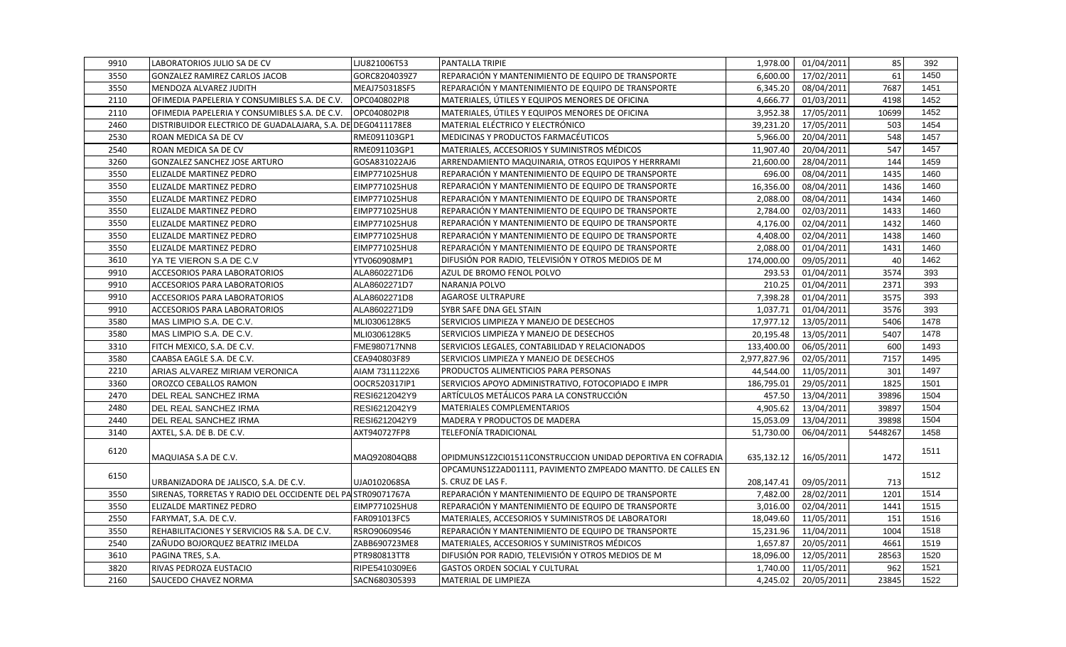| 9910 | LABORATORIOS JULIO SA DE CV                                 | LJU821006T53   | <b>PANTALLA TRIPIE</b>                                                          | 1,978.00     | 01/04/2011 | 85      | 392  |
|------|-------------------------------------------------------------|----------------|---------------------------------------------------------------------------------|--------------|------------|---------|------|
| 3550 | GONZALEZ RAMIREZ CARLOS JACOB                               | GORC8204039Z7  | REPARACIÓN Y MANTENIMIENTO DE EQUIPO DE TRANSPORTE                              | 6,600.00     | 17/02/2011 | 61      | 1450 |
| 3550 | lMENDOZA ALVAREZ JUDITH                                     | MEAJ750318SF5  | REPARACIÓN Y MANTENIMIENTO DE EQUIPO DE TRANSPORTE                              | 6.345.20     | 08/04/2011 | 7687    | 1451 |
| 2110 | OFIMEDIA PAPELERIA Y CONSUMIBLES S.A. DE C.V.               | OPC040802PI8   | MATERIALES, ÚTILES Y EQUIPOS MENORES DE OFICINA                                 | 4,666.77     | 01/03/2011 | 4198    | 1452 |
| 2110 | OFIMEDIA PAPELERIA Y CONSUMIBLES S.A. DE C.V.               | OPC040802PI8   | MATERIALES, ÚTILES Y EQUIPOS MENORES DE OFICINA                                 | 3,952.38     | 17/05/2011 | 10699   | 1452 |
| 2460 | DISTRIBUIDOR ELECTRICO DE GUADALAJARA, S.A. DE DEG0411178E8 |                | MATERIAL ELÉCTRICO Y ELECTRÓNICO                                                | 39,231.20    | 17/05/2011 | 503     | 1454 |
| 2530 | ROAN MEDICA SA DE CV                                        | RME091103GP1   | MEDICINAS Y PRODUCTOS FARMACÉUTICOS                                             | 5,966.00     | 20/04/2011 | 548     | 1457 |
| 2540 | ROAN MEDICA SA DE CV                                        | RME091103GP1   | MATERIALES, ACCESORIOS Y SUMINISTROS MÉDICOS                                    | 11,907.40    | 20/04/2011 | 547     | 1457 |
| 3260 | <b>GONZALEZ SANCHEZ JOSE ARTURO</b>                         | GOSA831022AJ6  | ARRENDAMIENTO MAQUINARIA, OTROS EQUIPOS Y HERRRAMI                              | 21,600.00    | 28/04/2011 | 144     | 1459 |
| 3550 | <b>ELIZALDE MARTINEZ PEDRO</b>                              | EIMP771025HU8  | REPARACIÓN Y MANTENIMIENTO DE EQUIPO DE TRANSPORTE                              | 696.00       | 08/04/2011 | 1435    | 1460 |
| 3550 | <b>ELIZALDE MARTINEZ PEDRO</b>                              | EIMP771025HU8  | REPARACIÓN Y MANTENIMIENTO DE EQUIPO DE TRANSPORTE                              | 16,356.00    | 08/04/2011 | 1436    | 1460 |
| 3550 | ELIZALDE MARTINEZ PEDRO                                     | EIMP771025HU8  | REPARACIÓN Y MANTENIMIENTO DE EQUIPO DE TRANSPORTE                              | 2,088.00     | 08/04/2011 | 1434    | 1460 |
| 3550 | ELIZALDE MARTINEZ PEDRO                                     | EIMP771025HU8  | REPARACIÓN Y MANTENIMIENTO DE EQUIPO DE TRANSPORTE                              | 2,784.00     | 02/03/2011 | 1433    | 1460 |
| 3550 | <b>ELIZALDE MARTINEZ PEDRO</b>                              | EIMP771025HU8  | REPARACIÓN Y MANTENIMIENTO DE EQUIPO DE TRANSPORTE                              | 4,176.00     | 02/04/2011 | 1432    | 1460 |
| 3550 | ELIZALDE MARTINEZ PEDRO                                     | EIMP771025HU8  | REPARACIÓN Y MANTENIMIENTO DE EQUIPO DE TRANSPORTE                              | 4,408.00     | 02/04/2011 | 1438    | 1460 |
| 3550 | ELIZALDE MARTINEZ PEDRO                                     | EIMP771025HU8  | REPARACIÓN Y MANTENIMIENTO DE EQUIPO DE TRANSPORTE                              | 2,088.00     | 01/04/2011 | 1431    | 1460 |
| 3610 | YA TE VIERON S.A DE C.V                                     | YTV060908MP1   | DIFUSIÓN POR RADIO, TELEVISIÓN Y OTROS MEDIOS DE M                              | 174,000.00   | 09/05/2011 | 40      | 1462 |
| 9910 | ACCESORIOS PARA LABORATORIOS                                | ALA8602271D6   | AZUL DE BROMO FENOL POLVO                                                       | 293.53       | 01/04/2011 | 3574    | 393  |
| 9910 | <b>ACCESORIOS PARA LABORATORIOS</b>                         | ALA8602271D7   | NARANJA POLVO                                                                   | 210.25       | 01/04/2011 | 2371    | 393  |
| 9910 | <b>ACCESORIOS PARA LABORATORIOS</b>                         | ALA8602271D8   | <b>AGAROSE ULTRAPURE</b>                                                        | 7,398.28     | 01/04/2011 | 3575    | 393  |
| 9910 | <b>ACCESORIOS PARA LABORATORIOS</b>                         | ALA8602271D9   | SYBR SAFE DNA GEL STAIN                                                         | 1,037.71     | 01/04/2011 | 3576    | 393  |
| 3580 | MAS LIMPIO S.A. DE C.V.                                     | MLI0306128K5   | SERVICIOS LIMPIEZA Y MANEJO DE DESECHOS                                         | 17,977.12    | 13/05/2011 | 5406    | 1478 |
| 3580 | MAS LIMPIO S.A. DE C.V.                                     | MLI0306128K5   | SERVICIOS LIMPIEZA Y MANEJO DE DESECHOS                                         | 20,195.48    | 13/05/2011 | 5407    | 1478 |
| 3310 | FITCH MEXICO, S.A. DE C.V.                                  | FME980717NN8   | SERVICIOS LEGALES, CONTABILIDAD Y RELACIONADOS                                  | 133,400.00   | 06/05/2011 | 600     | 1493 |
| 3580 | CAABSA EAGLE S.A. DE C.V.                                   | CEA940803F89   | SERVICIOS LIMPIEZA Y MANEJO DE DESECHOS                                         | 2,977,827.96 | 02/05/2011 | 7157    | 1495 |
| 2210 | ARIAS ALVAREZ MIRIAM VERONICA                               | AIAM 7311122X6 | PRODUCTOS ALIMENTICIOS PARA PERSONAS                                            | 44,544.00    | 11/05/2011 | 301     | 1497 |
| 3360 | OROZCO CEBALLOS RAMON                                       | OOCR520317IP1  | SERVICIOS APOYO ADMINISTRATIVO, FOTOCOPIADO E IMPR                              | 186,795.01   | 29/05/2011 | 1825    | 1501 |
| 2470 | DEL REAL SANCHEZ IRMA                                       | RESI6212042Y9  | ARTÍCULOS METÁLICOS PARA LA CONSTRUCCIÓN                                        | 457.50       | 13/04/2011 | 39896   | 1504 |
| 2480 | DEL REAL SANCHEZ IRMA                                       | RESI6212042Y9  | MATERIALES COMPLEMENTARIOS                                                      | 4,905.62     | 13/04/2011 | 39897   | 1504 |
| 2440 | DEL REAL SANCHEZ IRMA                                       | RESI6212042Y9  | MADERA Y PRODUCTOS DE MADERA                                                    | 15,053.09    | 13/04/2011 | 39898   | 1504 |
| 3140 | AXTEL, S.A. DE B. DE C.V.                                   | AXT940727FP8   | TELEFONÍA TRADICIONAL                                                           | 51,730.00    | 06/04/2011 | 5448267 | 1458 |
| 6120 | MAQUIASA S.A DE C.V.                                        | MAQ920804QB8   | OPIDMUNS1Z2CI01511CONSTRUCCION UNIDAD DEPORTIVA EN COFRADIA                     | 635,132.12   | 16/05/2011 | 1472    | 1511 |
| 6150 | URBANIZADORA DE JALISCO, S.A. DE C.V.                       | UJA0102068SA   | OPCAMUNS1Z2AD01111, PAVIMENTO ZMPEADO MANTTO. DE CALLES EN<br>S. CRUZ DE LAS F. | 208,147.41   | 09/05/2011 | 713     | 1512 |
| 3550 | SIRENAS, TORRETAS Y RADIO DEL OCCIDENTE DEL PA STR09071767A |                | REPARACIÓN Y MANTENIMIENTO DE EQUIPO DE TRANSPORTE                              | 7,482.00     | 28/02/2011 | 1201    | 1514 |
| 3550 | ELIZALDE MARTINEZ PEDRO                                     | EIMP771025HU8  | REPARACIÓN Y MANTENIMIENTO DE EQUIPO DE TRANSPORTE                              | 3,016.00     | 02/04/2011 | 1441    | 1515 |
| 2550 | FARYMAT, S.A. DE C.V.                                       | FAR091013FC5   | MATERIALES, ACCESORIOS Y SUMINISTROS DE LABORATORI                              | 18,049.60    | 11/05/2011 | 151     | 1516 |
| 3550 | REHABILITACIONES Y SERVICIOS R& S.A. DE C.V.                | RSRO90609S46   | REPARACIÓN Y MANTENIMIENTO DE EQUIPO DE TRANSPORTE                              | 15,231.96    | 11/04/2011 | 1004    | 1518 |
| 2540 | ZAÑUDO BOJORQUEZ BEATRIZ IMELDA                             | ZABB690723ME8  | MATERIALES, ACCESORIOS Y SUMINISTROS MÉDICOS                                    | 1,657.87     | 20/05/2011 | 4661    | 1519 |
| 3610 | PAGINA TRES, S.A.                                           | PTR980813TT8   | DIFUSIÓN POR RADIO, TELEVISIÓN Y OTROS MEDIOS DE M                              | 18,096.00    | 12/05/2011 | 28563   | 1520 |
| 3820 | RIVAS PEDROZA EUSTACIO                                      | RIPE5410309E6  | <b>GASTOS ORDEN SOCIAL Y CULTURAL</b>                                           | 1,740.00     | 11/05/2011 | 962     | 1521 |
| 2160 | <b>SAUCEDO CHAVEZ NORMA</b>                                 | SACN680305393  | MATERIAL DE LIMPIEZA                                                            | 4,245.02     | 20/05/2011 | 23845   | 1522 |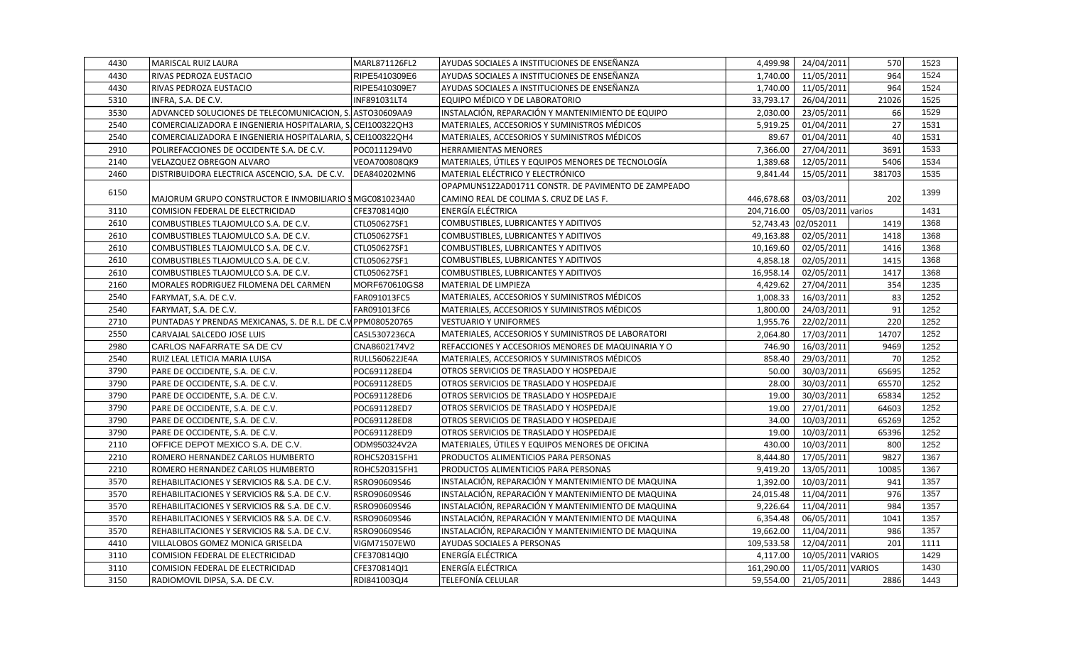| 4430 | MARISCAL RUIZ LAURA                                          | MARL871126FL2  | AYUDAS SOCIALES A INSTITUCIONES DE ENSEÑANZA        | 4,499.98   | 24/04/2011          | 570    | 1523 |
|------|--------------------------------------------------------------|----------------|-----------------------------------------------------|------------|---------------------|--------|------|
| 4430 | RIVAS PEDROZA EUSTACIO                                       | RIPE5410309E6  | AYUDAS SOCIALES A INSTITUCIONES DE ENSEÑANZA        | 1,740.00   | 11/05/2011          | 964    | 1524 |
| 4430 | RIVAS PEDROZA EUSTACIO                                       | RIPE5410309E7  | AYUDAS SOCIALES A INSTITUCIONES DE ENSEÑANZA        | 1,740.00   | 11/05/2011          | 964    | 1524 |
| 5310 | INFRA, S.A. DE C.V.                                          | INF891031LT4   | EQUIPO MÉDICO Y DE LABORATORIO                      | 33,793.17  | 26/04/2011          | 21026  | 1525 |
| 3530 | ADVANCED SOLUCIONES DE TELECOMUNICACION, S. ASTO30609AA9     |                | INSTALACIÓN, REPARACIÓN Y MANTENIMIENTO DE EQUIPO   | 2,030.00   | 23/05/2011          | 66     | 1529 |
| 2540 | COMERCIALIZADORA E INGENIERIA HOSPITALARIA, S.CEI100322QH3   |                | MATERIALES, ACCESORIOS Y SUMINISTROS MÉDICOS        | 5,919.25   | 01/04/2011          | 27     | 1531 |
| 2540 | COMERCIALIZADORA E INGENIERIA HOSPITALARIA, S. CEI100322QH4  |                | MATERIALES, ACCESORIOS Y SUMINISTROS MÉDICOS        | 89.67      | 01/04/2011          | 40     | 1531 |
| 2910 | POLIREFACCIONES DE OCCIDENTE S.A. DE C.V.                    | POC0111294V0   | <b>HERRAMIENTAS MENORES</b>                         | 7,366.00   | 27/04/2011          | 3691   | 1533 |
| 2140 | VELAZQUEZ OBREGON ALVARO                                     | VEOA700808QK9  | MATERIALES, ÚTILES Y EQUIPOS MENORES DE TECNOLOGÍA  | 1,389.68   | 12/05/2011          | 5406   | 1534 |
| 2460 | DISTRIBUIDORA ELECTRICA ASCENCIO, S.A. DE C.V.               | DEA840202MN6   | MATERIAL ELÉCTRICO Y ELECTRÓNICO                    | 9,841.44   | 15/05/2011          | 381703 | 1535 |
|      |                                                              |                | OPAPMUNS1Z2AD01711 CONSTR. DE PAVIMENTO DE ZAMPEADO |            |                     |        |      |
| 6150 | MAJORUM GRUPO CONSTRUCTOR E INMOBILIARIO SMGC0810234A0       |                | CAMINO REAL DE COLIMA S. CRUZ DE LAS F.             | 446,678.68 | 03/03/2011          | 202    | 1399 |
| 3110 | COMISION FEDERAL DE ELECTRICIDAD                             | CFE370814QI0   | ENERGÍA ELÉCTRICA                                   | 204,716.00 | 05/03/2011 varios   |        | 1431 |
| 2610 | COMBUSTIBLES TLAJOMULCO S.A. DE C.V.                         | CTL050627SF1   | COMBUSTIBLES, LUBRICANTES Y ADITIVOS                |            | 52,743.43 02/052011 | 1419   | 1368 |
| 2610 | COMBUSTIBLES TLAJOMULCO S.A. DE C.V.                         | CTL050627SF1   | COMBUSTIBLES, LUBRICANTES Y ADITIVOS                | 49,163.88  | 02/05/2011          | 1418   | 1368 |
| 2610 | COMBUSTIBLES TLAJOMULCO S.A. DE C.V.                         | CTL050627SF1   | COMBUSTIBLES, LUBRICANTES Y ADITIVOS                | 10,169.60  | 02/05/2011          | 1416   | 1368 |
| 2610 | COMBUSTIBLES TLAJOMULCO S.A. DE C.V.                         | CTL050627SF1   | COMBUSTIBLES, LUBRICANTES Y ADITIVOS                | 4,858.18   | 02/05/2011          | 1415   | 1368 |
| 2610 | COMBUSTIBLES TLAJOMULCO S.A. DE C.V.                         | CTL050627SF1   | COMBUSTIBLES, LUBRICANTES Y ADITIVOS                | 16,958.14  | 02/05/2011          | 1417   | 1368 |
| 2160 | MORALES RODRIGUEZ FILOMENA DEL CARMEN                        | MORF670610GS8  | MATERIAL DE LIMPIEZA                                | 4,429.62   | 27/04/2011          | 354    | 1235 |
| 2540 | FARYMAT, S.A. DE C.V.                                        | FAR091013FC5   | MATERIALES, ACCESORIOS Y SUMINISTROS MÉDICOS        | 1,008.33   | 16/03/2011          | 83     | 1252 |
| 2540 | FARYMAT, S.A. DE C.V.                                        | FAR091013FC6   | MATERIALES, ACCESORIOS Y SUMINISTROS MÉDICOS        | 1,800.00   | 24/03/2011          | 91     | 1252 |
| 2710 | PUNTADAS Y PRENDAS MEXICANAS, S. DE R.L. DE C.V PPM080520765 |                | <b>VESTUARIO Y UNIFORMES</b>                        | 1,955.76   | 22/02/2011          | 220    | 1252 |
| 2550 | CARVAJAL SALCEDO JOSE LUIS                                   | CASL5307236CA  | MATERIALES, ACCESORIOS Y SUMINISTROS DE LABORATORI  | 2,064.80   | 17/03/2011          | 14707  | 1252 |
| 2980 | CARLOS NAFARRATE SA DE CV                                    | CNA8602174V2   | REFACCIONES Y ACCESORIOS MENORES DE MAQUINARIA Y O  | 746.90     | 16/03/2011          | 9469   | 1252 |
| 2540 | RUIZ LEAL LETICIA MARIA LUISA                                | RULL560622JE4A | MATERIALES, ACCESORIOS Y SUMINISTROS MÉDICOS        | 858.40     | 29/03/2011          | 70     | 1252 |
| 3790 | PARE DE OCCIDENTE, S.A. DE C.V.                              | POC691128ED4   | OTROS SERVICIOS DE TRASLADO Y HOSPEDAJE             | 50.00      | 30/03/2011          | 65695  | 1252 |
| 3790 | PARE DE OCCIDENTE, S.A. DE C.V.                              | POC691128ED5   | OTROS SERVICIOS DE TRASLADO Y HOSPEDAJE             | 28.00      | 30/03/2011          | 65570  | 1252 |
| 3790 | PARE DE OCCIDENTE, S.A. DE C.V.                              | POC691128ED6   | OTROS SERVICIOS DE TRASLADO Y HOSPEDAJE             | 19.00      | 30/03/2011          | 65834  | 1252 |
| 3790 | PARE DE OCCIDENTE, S.A. DE C.V.                              | POC691128ED7   | OTROS SERVICIOS DE TRASLADO Y HOSPEDAJE             | 19.00      | 27/01/2011          | 64603  | 1252 |
| 3790 | PARE DE OCCIDENTE, S.A. DE C.V.                              | POC691128ED8   | OTROS SERVICIOS DE TRASLADO Y HOSPEDAJE             | 34.00      | 10/03/2011          | 65269  | 1252 |
| 3790 | PARE DE OCCIDENTE, S.A. DE C.V.                              | POC691128ED9   | OTROS SERVICIOS DE TRASLADO Y HOSPEDAJE             | 19.00      | 10/03/2011          | 65396  | 1252 |
| 2110 | OFFICE DEPOT MEXICO S.A. DE C.V.                             | ODM950324V2A   | MATERIALES, ÚTILES Y EQUIPOS MENORES DE OFICINA     | 430.00     | 10/03/2011          | 800    | 1252 |
| 2210 | ROMERO HERNANDEZ CARLOS HUMBERTO                             | ROHC520315FH1  | PRODUCTOS ALIMENTICIOS PARA PERSONAS                | 8,444.80   | 17/05/2011          | 9827   | 1367 |
| 2210 | ROMERO HERNANDEZ CARLOS HUMBERTO                             | ROHC520315FH1  | PRODUCTOS ALIMENTICIOS PARA PERSONAS                | 9,419.20   | 13/05/2011          | 10085  | 1367 |
| 3570 | REHABILITACIONES Y SERVICIOS R& S.A. DE C.V.                 | RSRO90609S46   | INSTALACIÓN, REPARACIÓN Y MANTENIMIENTO DE MAQUINA  | 1,392.00   | 10/03/2011          | 941    | 1357 |
| 3570 | REHABILITACIONES Y SERVICIOS R& S.A. DE C.V.                 | RSRO90609S46   | INSTALACIÓN, REPARACIÓN Y MANTENIMIENTO DE MAQUINA  | 24,015.48  | 11/04/2011          | 976    | 1357 |
| 3570 | REHABILITACIONES Y SERVICIOS R& S.A. DE C.V.                 | RSRO90609S46   | INSTALACIÓN, REPARACIÓN Y MANTENIMIENTO DE MAQUINA  | 9,226.64   | 11/04/2011          | 984    | 1357 |
| 3570 | REHABILITACIONES Y SERVICIOS R& S.A. DE C.V.                 | RSRO90609S46   | INSTALACIÓN, REPARACIÓN Y MANTENIMIENTO DE MAQUINA  | 6,354.48   | 06/05/2011          | 1041   | 1357 |
| 3570 | REHABILITACIONES Y SERVICIOS R& S.A. DE C.V.                 | RSRO90609S46   | INSTALACIÓN, REPARACIÓN Y MANTENIMIENTO DE MAQUINA  | 19,662.00  | 11/04/2011          | 986    | 1357 |
| 4410 | VILLALOBOS GOMEZ MONICA GRISELDA                             | VIGM71507EW0   | <b>AYUDAS SOCIALES A PERSONAS</b>                   | 109,533.58 | 12/04/2011          | 201    | 1111 |
| 3110 | COMISION FEDERAL DE ELECTRICIDAD                             | CFE370814QI0   | ENERGÍA ELÉCTRICA                                   | 4,117.00   | 10/05/2011 VARIOS   |        | 1429 |
| 3110 | COMISION FEDERAL DE ELECTRICIDAD                             | CFE370814QI1   | ENERGÍA ELÉCTRICA                                   | 161,290.00 | 11/05/2011 VARIOS   |        | 1430 |
| 3150 | RADIOMOVIL DIPSA, S.A. DE C.V.                               | RDI841003QJ4   | TELEFONÍA CELULAR                                   | 59,554.00  | 21/05/2011          | 2886   | 1443 |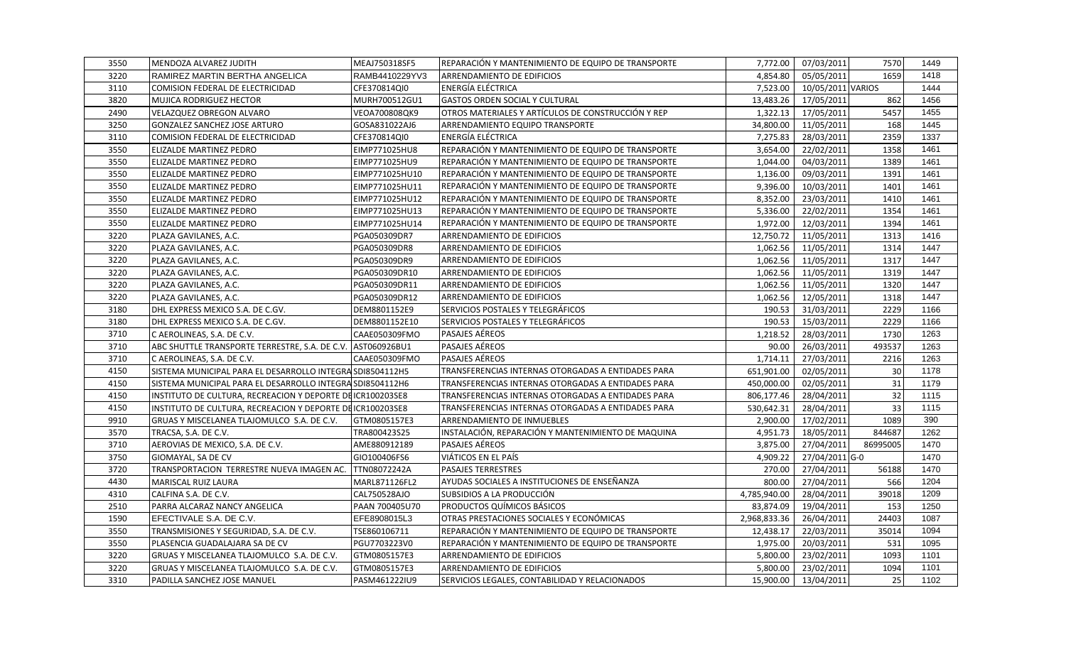| 3550 | MENDOZA ALVAREZ JUDITH                                      | MEAJ750318SF5  | REPARACIÓN Y MANTENIMIENTO DE EQUIPO DE TRANSPORTE | 7,772.00     | 07/03/2011        | 7570     | 1449 |
|------|-------------------------------------------------------------|----------------|----------------------------------------------------|--------------|-------------------|----------|------|
| 3220 | RAMIREZ MARTIN BERTHA ANGELICA                              | RAMB4410229YV3 | ARRENDAMIENTO DE EDIFICIOS                         | 4,854.80     | 05/05/2011        | 1659     | 1418 |
| 3110 | COMISION FEDERAL DE ELECTRICIDAD                            | CFE370814QI0   | ENERGÍA ELÉCTRICA                                  | 7.523.00     | 10/05/2011 VARIOS |          | 1444 |
| 3820 | <b>MUJICA RODRIGUEZ HECTOR</b>                              | MURH700512GU1  | <b>GASTOS ORDEN SOCIAL Y CULTURAL</b>              | 13,483.26    | 17/05/2011        | 862      | 1456 |
| 2490 | VELAZQUEZ OBREGON ALVARO                                    | VEOA700808QK9  | OTROS MATERIALES Y ARTÍCULOS DE CONSTRUCCIÓN Y REP | 1,322.13     | 17/05/2011        | 5457     | 1455 |
| 3250 | GONZALEZ SANCHEZ JOSE ARTURO                                | GOSA831022AJ6  | ARRENDAMIENTO EQUIPO TRANSPORTE                    | 34,800.00    | 11/05/2011        | 168      | 1445 |
| 3110 | COMISION FEDERAL DE ELECTRICIDAD                            | CFE370814QI0   | ENERGÍA ELÉCTRICA                                  | 7,275.83     | 28/03/2011        | 2359     | 1337 |
| 3550 | ELIZALDE MARTINEZ PEDRO                                     | EIMP771025HU8  | REPARACIÓN Y MANTENIMIENTO DE EQUIPO DE TRANSPORTE | 3,654.00     | 22/02/2011        | 1358     | 1461 |
| 3550 | ELIZALDE MARTINEZ PEDRO                                     | EIMP771025HU9  | REPARACIÓN Y MANTENIMIENTO DE EQUIPO DE TRANSPORTE | 1,044.00     | 04/03/2011        | 1389     | 1461 |
| 3550 | ELIZALDE MARTINEZ PEDRO                                     | EIMP771025HU10 | REPARACIÓN Y MANTENIMIENTO DE EQUIPO DE TRANSPORTE | 1,136.00     | 09/03/2011        | 1391     | 1461 |
| 3550 | ELIZALDE MARTINEZ PEDRO                                     | EIMP771025HU11 | REPARACIÓN Y MANTENIMIENTO DE EQUIPO DE TRANSPORTE | 9,396.00     | 10/03/2011        | 1401     | 1461 |
| 3550 | ELIZALDE MARTINEZ PEDRO                                     | EIMP771025HU12 | REPARACIÓN Y MANTENIMIENTO DE EQUIPO DE TRANSPORTE | 8,352.00     | 23/03/2011        | 1410     | 1461 |
| 3550 | ELIZALDE MARTINEZ PEDRO                                     | EIMP771025HU13 | REPARACIÓN Y MANTENIMIENTO DE EQUIPO DE TRANSPORTE | 5,336.00     | 22/02/2011        | 1354     | 1461 |
| 3550 | ELIZALDE MARTINEZ PEDRO                                     | EIMP771025HU14 | REPARACIÓN Y MANTENIMIENTO DE EQUIPO DE TRANSPORTE | 1,972.00     | 12/03/2011        | 1394     | 1461 |
| 3220 | PLAZA GAVILANES, A.C.                                       | PGA050309DR7   | ARRENDAMIENTO DE EDIFICIOS                         | 12,750.72    | 11/05/2011        | 1313     | 1416 |
| 3220 | PLAZA GAVILANES, A.C.                                       | PGA050309DR8   | ARRENDAMIENTO DE EDIFICIOS                         | 1,062.56     | 11/05/2011        | 1314     | 1447 |
| 3220 | PLAZA GAVILANES, A.C.                                       | PGA050309DR9   | ARRENDAMIENTO DE EDIFICIOS                         | 1,062.56     | 11/05/2011        | 1317     | 1447 |
| 3220 | PLAZA GAVILANES, A.C.                                       | PGA050309DR10  | ARRENDAMIENTO DE EDIFICIOS                         | 1,062.56     | 11/05/2011        | 1319     | 1447 |
| 3220 | PLAZA GAVILANES, A.C.                                       | PGA050309DR11  | ARRENDAMIENTO DE EDIFICIOS                         | 1,062.56     | 11/05/2011        | 1320     | 1447 |
| 3220 | PLAZA GAVILANES, A.C.                                       | PGA050309DR12  | ARRENDAMIENTO DE EDIFICIOS                         | 1,062.56     | 12/05/2011        | 1318     | 1447 |
| 3180 | DHL EXPRESS MEXICO S.A. DE C.GV.                            | DEM8801152E9   | SERVICIOS POSTALES Y TELEGRÁFICOS                  | 190.53       | 31/03/2011        | 2229     | 1166 |
| 3180 | DHL EXPRESS MEXICO S.A. DE C.GV.                            | DEM8801152E10  | SERVICIOS POSTALES Y TELEGRÁFICOS                  | 190.53       | 15/03/2011        | 2229     | 1166 |
| 3710 | C AEROLINEAS, S.A. DE C.V.                                  | CAAE050309FMO  | PASAJES AÉREOS                                     | 1,218.52     | 28/03/2011        | 1730     | 1263 |
| 3710 | ABC SHUTTLE TRANSPORTE TERRESTRE, S.A. DE C.V. AST060926BU1 |                | PASAJES AÉREOS                                     | 90.00        | 26/03/2011        | 493537   | 1263 |
| 3710 | C AEROLINEAS, S.A. DE C.V.                                  | CAAE050309FMO  | <b>PASAJES AÉREOS</b>                              | 1,714.11     | 27/03/2011        | 2216     | 1263 |
| 4150 | SISTEMA MUNICIPAL PARA EL DESARROLLO INTEGRA SDI8504112H5   |                | TRANSFERENCIAS INTERNAS OTORGADAS A ENTIDADES PARA | 651,901.00   | 02/05/2011        | 30       | 1178 |
| 4150 | SISTEMA MUNICIPAL PARA EL DESARROLLO INTEGRA SDI8504112H6   |                | TRANSFERENCIAS INTERNAS OTORGADAS A ENTIDADES PARA | 450,000.00   | 02/05/2011        | 31       | 1179 |
| 4150 | INSTITUTO DE CULTURA, RECREACION Y DEPORTE DEICR100203SE8   |                | TRANSFERENCIAS INTERNAS OTORGADAS A ENTIDADES PARA | 806,177.46   | 28/04/2011        | 32       | 1115 |
| 4150 | INSTITUTO DE CULTURA, RECREACION Y DEPORTE DEICR100203SE8   |                | TRANSFERENCIAS INTERNAS OTORGADAS A ENTIDADES PARA | 530,642.31   | 28/04/2011        | 33       | 1115 |
| 9910 | GRUAS Y MISCELANEA TLAJOMULCO S.A. DE C.V.                  | GTM0805157E3   | ARRENDAMIENTO DE INMUEBLES                         | 2,900.00     | 17/02/2011        | 1089     | 390  |
| 3570 | TRACSA, S.A. DE C.V.                                        | TRA800423S25   | INSTALACIÓN, REPARACIÓN Y MANTENIMIENTO DE MAQUINA | 4,951.73     | 18/05/2011        | 844687   | 1262 |
| 3710 | AEROVIAS DE MEXICO, S.A. DE C.V.                            | AME880912189   | <b>PASAJES AÉREOS</b>                              | 3,875.00     | 27/04/2011        | 86995005 | 1470 |
| 3750 | GIOMAYAL, SA DE CV                                          | GIO100406FS6   | VIÁTICOS EN EL PAÍS                                | 4,909.22     | 27/04/2011 G-0    |          | 1470 |
| 3720 | TRANSPORTACION TERRESTRE NUEVA IMAGEN AC.                   | TTN08072242A   | <b>PASAJES TERRESTRES</b>                          | 270.00       | 27/04/2011        | 56188    | 1470 |
| 4430 | MARISCAL RUIZ LAURA                                         | MARL871126FL2  | AYUDAS SOCIALES A INSTITUCIONES DE ENSEÑANZA       | 800.00       | 27/04/2011        | 566      | 1204 |
| 4310 | CALFINA S.A. DE C.V.                                        | CAL750528AJO   | SUBSIDIOS A LA PRODUCCIÓN                          | 4,785,940.00 | 28/04/2011        | 39018    | 1209 |
| 2510 | PARRA ALCARAZ NANCY ANGELICA                                | PAAN 700405U70 | PRODUCTOS QUÍMICOS BÁSICOS                         | 83,874.09    | 19/04/2011        | 153      | 1250 |
| 1590 | EFECTIVALE S.A. DE C.V.                                     | EFE8908015L3   | OTRAS PRESTACIONES SOCIALES Y ECONÓMICAS           | 2,968,833.36 | 26/04/2011        | 24403    | 1087 |
| 3550 | TRANSMISIONES Y SEGURIDAD, S.A. DE C.V.                     | TSE860106711   | REPARACIÓN Y MANTENIMIENTO DE EQUIPO DE TRANSPORTE | 12,438.17    | 22/03/2011        | 35014    | 1094 |
| 3550 | PLASENCIA GUADALAJARA SA DE CV                              | PGU7703223V0   | REPARACIÓN Y MANTENIMIENTO DE EQUIPO DE TRANSPORTE | 1,975.00     | 20/03/2011        | 531      | 1095 |
| 3220 | GRUAS Y MISCELANEA TLAJOMULCO S.A. DE C.V.                  | GTM0805157E3   | ARRENDAMIENTO DE EDIFICIOS                         | 5,800.00     | 23/02/2011        | 1093     | 1101 |
| 3220 | GRUAS Y MISCELANEA TLAJOMULCO S.A. DE C.V.                  | GTM0805157E3   | ARRENDAMIENTO DE EDIFICIOS                         | 5,800.00     | 23/02/2011        | 1094     | 1101 |
| 3310 | PADILLA SANCHEZ JOSE MANUEL                                 | PASM461222IU9  | SERVICIOS LEGALES, CONTABILIDAD Y RELACIONADOS     | 15,900.00    | 13/04/2011        | 25       | 1102 |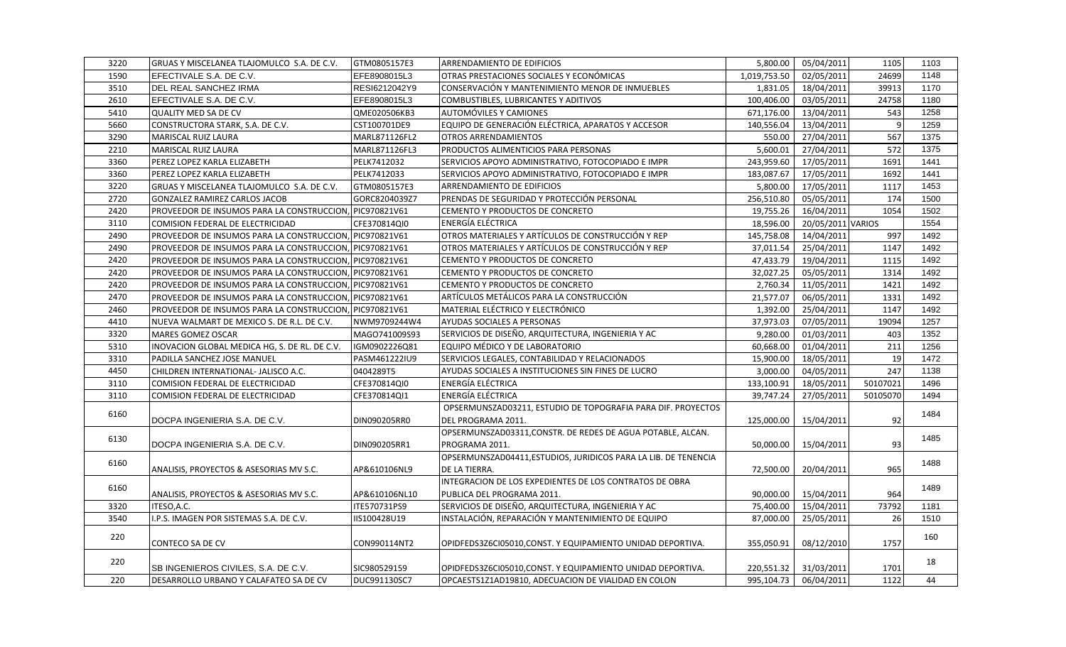| 3220 | GRUAS Y MISCELANEA TLAJOMULCO S.A. DE C.V.              | GTM0805157E3  | <b>ARRENDAMIENTO DE EDIFICIOS</b>                               | 5,800.00     | 05/04/2011        | 1105             | 1103 |
|------|---------------------------------------------------------|---------------|-----------------------------------------------------------------|--------------|-------------------|------------------|------|
| 1590 | EFECTIVALE S.A. DE C.V.                                 | EFE8908015L3  | OTRAS PRESTACIONES SOCIALES Y ECONÓMICAS                        | 1,019,753.50 | 02/05/2011        | 24699            | 1148 |
| 3510 | DEL REAL SANCHEZ IRMA                                   | RESI6212042Y9 | CONSERVACIÓN Y MANTENIMIENTO MENOR DE INMUEBLES                 | 1,831.05     | 18/04/2011        | 39913            | 1170 |
| 2610 | EFECTIVALE S.A. DE C.V.                                 | EFE8908015L3  | COMBUSTIBLES, LUBRICANTES Y ADITIVOS                            | 100,406.00   | 03/05/2011        | 24758            | 1180 |
| 5410 | <b>QUALITY MED SA DE CV</b>                             | QME020506KB3  | <b>AUTOMÓVILES Y CAMIONES</b>                                   | 671,176.00   | 13/04/2011        | 543              | 1258 |
| 5660 | CONSTRUCTORA STARK, S.A. DE C.V.                        | CST100701DE9  | EQUIPO DE GENERACIÓN ELÉCTRICA, APARATOS Y ACCESOR              | 140,556.04   | 13/04/2011        | 9                | 1259 |
| 3290 | <b>MARISCAL RUIZ LAURA</b>                              | MARL871126FL2 | <b>OTROS ARRENDAMIENTOS</b>                                     | 550.00       | 27/04/2011        | 567              | 1375 |
| 2210 | <b>MARISCAL RUIZ LAURA</b>                              | MARL871126FL3 | PRODUCTOS ALIMENTICIOS PARA PERSONAS                            | 5,600.01     | 27/04/2011        | 572              | 1375 |
| 3360 | PEREZ LOPEZ KARLA ELIZABETH                             | PELK7412032   | SERVICIOS APOYO ADMINISTRATIVO, FOTOCOPIADO E IMPR              | 243,959.60   | 17/05/2011        | 1691             | 1441 |
| 3360 | PEREZ LOPEZ KARLA ELIZABETH                             | PELK7412033   | SERVICIOS APOYO ADMINISTRATIVO, FOTOCOPIADO E IMPR              | 183,087.67   | 17/05/2011        | 1692             | 1441 |
| 3220 | GRUAS Y MISCELANEA TLAJOMULCO S.A. DE C.V.              | GTM0805157E3  | ARRENDAMIENTO DE EDIFICIOS                                      | 5,800.00     | 17/05/2011        | 1117             | 1453 |
| 2720 | GONZALEZ RAMIREZ CARLOS JACOB                           | GORC8204039Z7 | PRENDAS DE SEGURIDAD Y PROTECCIÓN PERSONAL                      | 256,510.80   | 05/05/2011        | 174              | 1500 |
| 2420 | PROVEEDOR DE INSUMOS PARA LA CONSTRUCCION, PIC970821V61 |               | CEMENTO Y PRODUCTOS DE CONCRETO                                 | 19,755.26    | 16/04/2011        | 1054             | 1502 |
| 3110 | COMISION FEDERAL DE ELECTRICIDAD                        | CFE370814QI0  | ENERGÍA ELÉCTRICA                                               | 18,596.00    | 20/05/2011 VARIOS |                  | 1554 |
| 2490 | PROVEEDOR DE INSUMOS PARA LA CONSTRUCCION, PIC970821V61 |               | OTROS MATERIALES Y ARTÍCULOS DE CONSTRUCCIÓN Y REP              | 145,758.08   | 14/04/2011        | 997              | 1492 |
| 2490 | PROVEEDOR DE INSUMOS PARA LA CONSTRUCCION, PIC970821V61 |               | OTROS MATERIALES Y ARTÍCULOS DE CONSTRUCCIÓN Y REP              | 37.011.54    | 25/04/2011        | 1147             | 1492 |
| 2420 | PROVEEDOR DE INSUMOS PARA LA CONSTRUCCION, PIC970821V61 |               | CEMENTO Y PRODUCTOS DE CONCRETO                                 | 47,433.79    | 19/04/2011        | 1115             | 1492 |
| 2420 | PROVEEDOR DE INSUMOS PARA LA CONSTRUCCION, PIC970821V61 |               | CEMENTO Y PRODUCTOS DE CONCRETO                                 | 32,027.25    | 05/05/2011        | 1314             | 1492 |
| 2420 | PROVEEDOR DE INSUMOS PARA LA CONSTRUCCION, PIC970821V61 |               | CEMENTO Y PRODUCTOS DE CONCRETO                                 | 2,760.34     | 11/05/2011        | 1421             | 1492 |
| 2470 | PROVEEDOR DE INSUMOS PARA LA CONSTRUCCION, PIC970821V61 |               | ARTÍCULOS METÁLICOS PARA LA CONSTRUCCIÓN                        | 21,577.07    | 06/05/2011        | 1331             | 1492 |
| 2460 | PROVEEDOR DE INSUMOS PARA LA CONSTRUCCION, PIC970821V61 |               | MATERIAL ELÉCTRICO Y ELECTRÓNICO                                | 1,392.00     | 25/04/2011        | 1147             | 1492 |
| 4410 | NUEVA WALMART DE MEXICO S. DE R.L. DE C.V.              | NWM9709244W4  | <b>AYUDAS SOCIALES A PERSONAS</b>                               | 37,973.03    | 07/05/2011        | 19094            | 1257 |
| 3320 | MARES GOMEZ OSCAR                                       | MAGO741009S93 | SERVICIOS DE DISEÑO, ARQUITECTURA, INGENIERIA Y AC              | 9,280.00     | 01/03/2011        | 403              | 1352 |
| 5310 | INOVACION GLOBAL MEDICA HG, S. DE RL. DE C.V.           | IGM0902226Q81 | EQUIPO MÉDICO Y DE LABORATORIO                                  | 60,668.00    | 01/04/2011        | $\overline{211}$ | 1256 |
| 3310 | PADILLA SANCHEZ JOSE MANUEL                             | PASM461222IU9 | SERVICIOS LEGALES, CONTABILIDAD Y RELACIONADOS                  | 15,900.00    | 18/05/2011        | 19               | 1472 |
| 4450 | CHILDREN INTERNATIONAL- JALISCO A.C.                    | 0404289T5     | AYUDAS SOCIALES A INSTITUCIONES SIN FINES DE LUCRO              | 3,000.00     | 04/05/2011        | 247              | 1138 |
| 3110 | COMISION FEDERAL DE ELECTRICIDAD                        | CFE370814QI0  | ENERGÍA ELÉCTRICA                                               | 133,100.91   | 18/05/2011        | 50107021         | 1496 |
| 3110 | <b>COMISION FEDERAL DE ELECTRICIDAD</b>                 | CFE370814QI1  | <b>ENERGÍA ELÉCTRICA</b>                                        | 39.747.24    | 27/05/2011        | 50105070         | 1494 |
| 6160 |                                                         |               | OPSERMUNSZAD03211, ESTUDIO DE TOPOGRAFIA PARA DIF. PROYECTOS    |              |                   |                  | 1484 |
|      | DOCPA INGENIERIA S.A. DE C.V.                           | DIN090205RR0  | DEL PROGRAMA 2011.                                              | 125,000.00   | 15/04/2011        | 92               |      |
| 6130 |                                                         |               | OPSERMUNSZAD03311, CONSTR. DE REDES DE AGUA POTABLE, ALCAN.     |              |                   |                  | 1485 |
|      | DOCPA INGENIERIA S.A. DE C.V.                           | DIN090205RR1  | PROGRAMA 2011.                                                  | 50,000.00    | 15/04/2011        | 93               |      |
| 6160 |                                                         |               | OPSERMUNSZAD04411, ESTUDIOS, JURIDICOS PARA LA LIB. DE TENENCIA |              |                   |                  | 1488 |
|      | ANALISIS, PROYECTOS & ASESORIAS MV S.C.                 | AP&610106NL9  | DE LA TIERRA.                                                   | 72,500.00    | 20/04/2011        | 965              |      |
| 6160 |                                                         |               | INTEGRACION DE LOS EXPEDIENTES DE LOS CONTRATOS DE OBRA         |              |                   |                  | 1489 |
|      | ANALISIS, PROYECTOS & ASESORIAS MV S.C.                 | AP&610106NL10 | PUBLICA DEL PROGRAMA 2011.                                      | 90,000.00    | 15/04/2011        | 964              |      |
| 3320 | ITESO, A.C.                                             | ITE570731PS9  | SERVICIOS DE DISEÑO, ARQUITECTURA, INGENIERIA Y AC              | 75,400.00    | 15/04/2011        | 73792            | 1181 |
| 3540 | I.P.S. IMAGEN POR SISTEMAS S.A. DE C.V.                 | IIS100428U19  | INSTALACIÓN, REPARACIÓN Y MANTENIMIENTO DE EQUIPO               | 87,000.00    | 25/05/2011        | 26               | 1510 |
| 220  | <b>CONTECO SA DE CV</b>                                 | CON990114NT2  | OPIDFEDS3Z6CI05010,CONST. Y EQUIPAMIENTO UNIDAD DEPORTIVA.      | 355,050.91   | 08/12/2010        | 1757             | 160  |
| 220  | SB INGENIEROS CIVILES, S.A. DE C.V.                     | SIC980529159  | OPIDFEDS3Z6CI05010,CONST. Y EQUIPAMIENTO UNIDAD DEPORTIVA.      | 220,551.32   | 31/03/2011        | 1701             | 18   |
| 220  | DESARROLLO URBANO Y CALAFATEO SA DE CV                  | DUC991130SC7  | OPCAESTS1Z1AD19810, ADECUACION DE VIALIDAD EN COLON             | 995,104.73   | 06/04/2011        | 1122             | 44   |